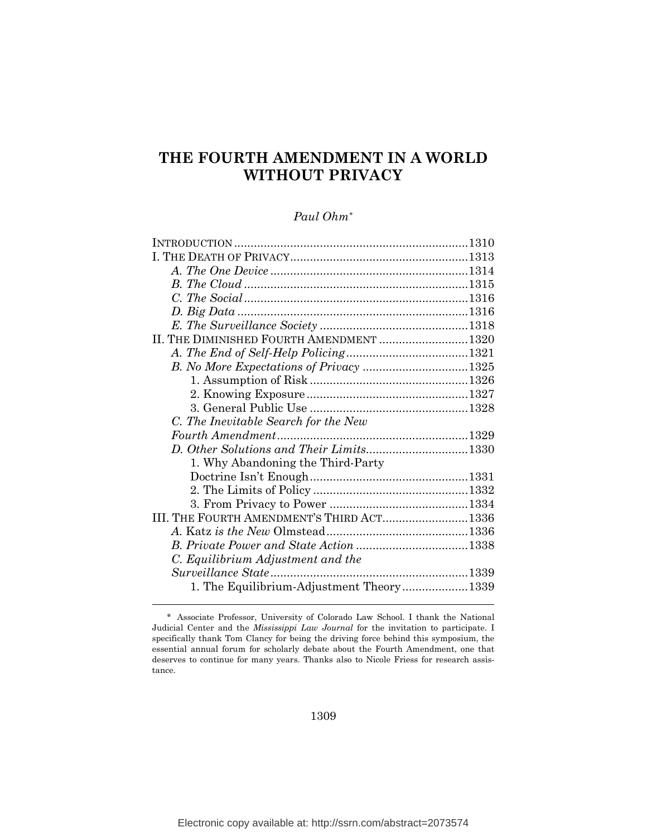# **THE FOURTH AMENDMENT IN A WORLD WITHOUT PRIVACY**

## *Paul Ohm[\\*](#page-0-0)*

| II. THE DIMINISHED FOURTH AMENDMENT 1320  |  |
|-------------------------------------------|--|
|                                           |  |
|                                           |  |
|                                           |  |
|                                           |  |
|                                           |  |
| C. The Inevitable Search for the New      |  |
|                                           |  |
|                                           |  |
| 1. Why Abandoning the Third-Party         |  |
|                                           |  |
|                                           |  |
|                                           |  |
| III. THE FOURTH AMENDMENT'S THIRD ACT1336 |  |
|                                           |  |
|                                           |  |
| C. Equilibrium Adjustment and the         |  |
|                                           |  |
| 1. The Equilibrium-Adjustment Theory1339  |  |
|                                           |  |

1309

<span id="page-0-0"></span> <sup>\*</sup> Associate Professor, University of Colorado Law School. I thank the National Judicial Center and the *Mississippi Law Journal* for the invitation to participate. I specifically thank Tom Clancy for being the driving force behind this symposium, the essential annual forum for scholarly debate about the Fourth Amendment, one that deserves to continue for many years. Thanks also to Nicole Friess for research assistance.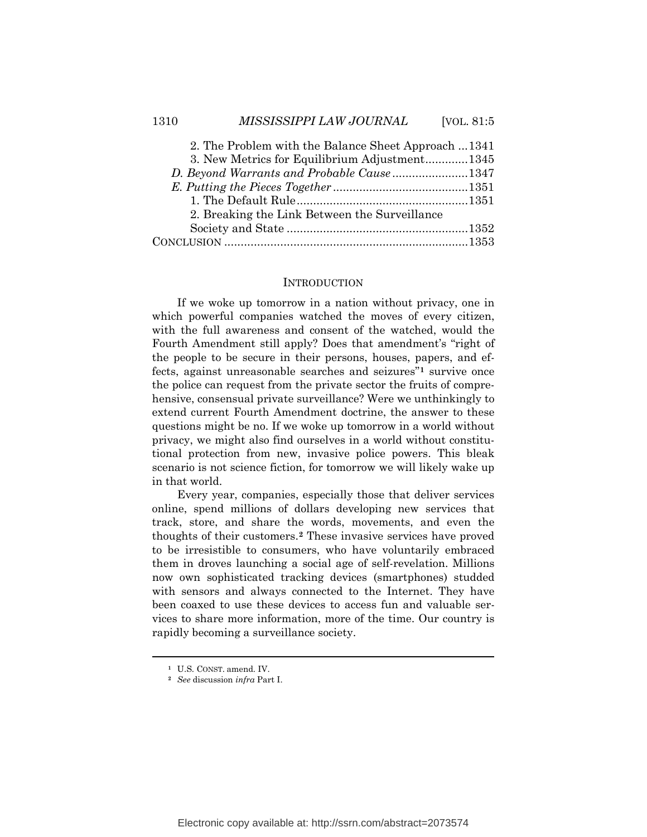| 3. New Metrics for Equilibrium Adjustment1345 |
|-----------------------------------------------|
|                                               |
| D. Beyond Warrants and Probable Cause1347     |
|                                               |
|                                               |
| 2. Breaking the Link Between the Surveillance |
|                                               |
|                                               |

#### **INTRODUCTION**

If we woke up tomorrow in a nation without privacy, one in which powerful companies watched the moves of every citizen, with the full awareness and consent of the watched, would the Fourth Amendment still apply? Does that amendment's "right of the people to be secure in their persons, houses, papers, and effects, against unreasonable searches and seizures"**[1](#page-1-0)** survive once the police can request from the private sector the fruits of comprehensive, consensual private surveillance? Were we unthinkingly to extend current Fourth Amendment doctrine, the answer to these questions might be no. If we woke up tomorrow in a world without privacy, we might also find ourselves in a world without constitutional protection from new, invasive police powers. This bleak scenario is not science fiction, for tomorrow we will likely wake up in that world.

Every year, companies, especially those that deliver services online, spend millions of dollars developing new services that track, store, and share the words, movements, and even the thoughts of their customers. **[2](#page-1-1)** These invasive services have proved to be irresistible to consumers, who have voluntarily embraced them in droves launching a social age of self-revelation. Millions now own sophisticated tracking devices (smartphones) studded with sensors and always connected to the Internet. They have been coaxed to use these devices to access fun and valuable services to share more information, more of the time. Our country is rapidly becoming a surveillance society.

<span id="page-1-0"></span>**<sup>1</sup>** U.S. CONST. amend. IV.

<span id="page-1-1"></span>**<sup>2</sup>** *See* discussion *infra* Part I.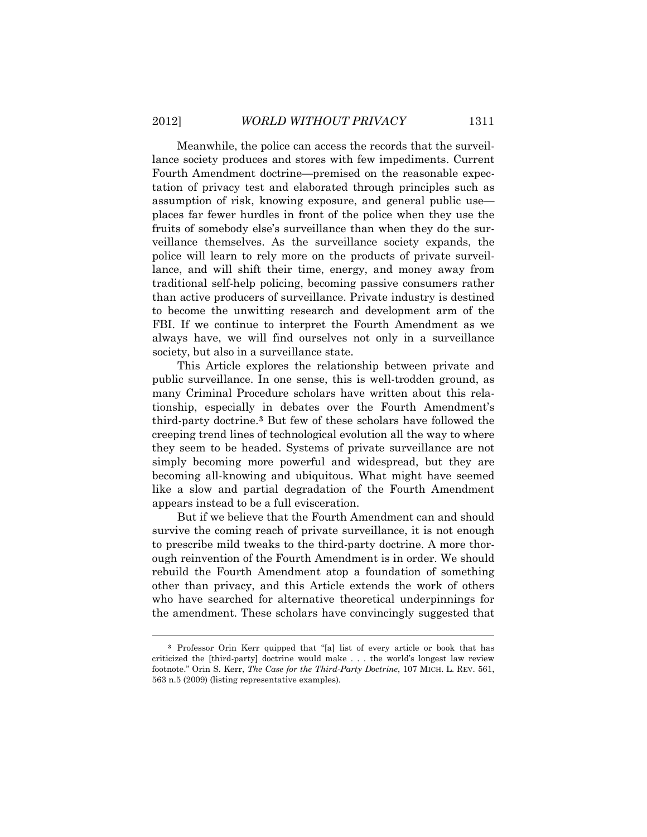Meanwhile, the police can access the records that the surveillance society produces and stores with few impediments. Current Fourth Amendment doctrine—premised on the reasonable expectation of privacy test and elaborated through principles such as assumption of risk, knowing exposure, and general public use places far fewer hurdles in front of the police when they use the fruits of somebody else's surveillance than when they do the surveillance themselves. As the surveillance society expands, the police will learn to rely more on the products of private surveillance, and will shift their time, energy, and money away from traditional self-help policing, becoming passive consumers rather than active producers of surveillance. Private industry is destined to become the unwitting research and development arm of the FBI. If we continue to interpret the Fourth Amendment as we always have, we will find ourselves not only in a surveillance society, but also in a surveillance state.

This Article explores the relationship between private and public surveillance. In one sense, this is well-trodden ground, as many Criminal Procedure scholars have written about this relationship, especially in debates over the Fourth Amendment's third-party doctrine.**[3](#page-2-0)** But few of these scholars have followed the creeping trend lines of technological evolution all the way to where they seem to be headed. Systems of private surveillance are not simply becoming more powerful and widespread, but they are becoming all-knowing and ubiquitous. What might have seemed like a slow and partial degradation of the Fourth Amendment appears instead to be a full evisceration.

But if we believe that the Fourth Amendment can and should survive the coming reach of private surveillance, it is not enough to prescribe mild tweaks to the third-party doctrine. A more thorough reinvention of the Fourth Amendment is in order. We should rebuild the Fourth Amendment atop a foundation of something other than privacy, and this Article extends the work of others who have searched for alternative theoretical underpinnings for the amendment. These scholars have convincingly suggested that

<span id="page-2-0"></span>**<sup>3</sup>** Professor Orin Kerr quipped that "[a] list of every article or book that has criticized the [third-party] doctrine would make . . . the world's longest law review footnote." Orin S. Kerr, *The Case for the Third-Party Doctrine*, 107 MICH. L. REV. 561, 563 n.5 (2009) (listing representative examples).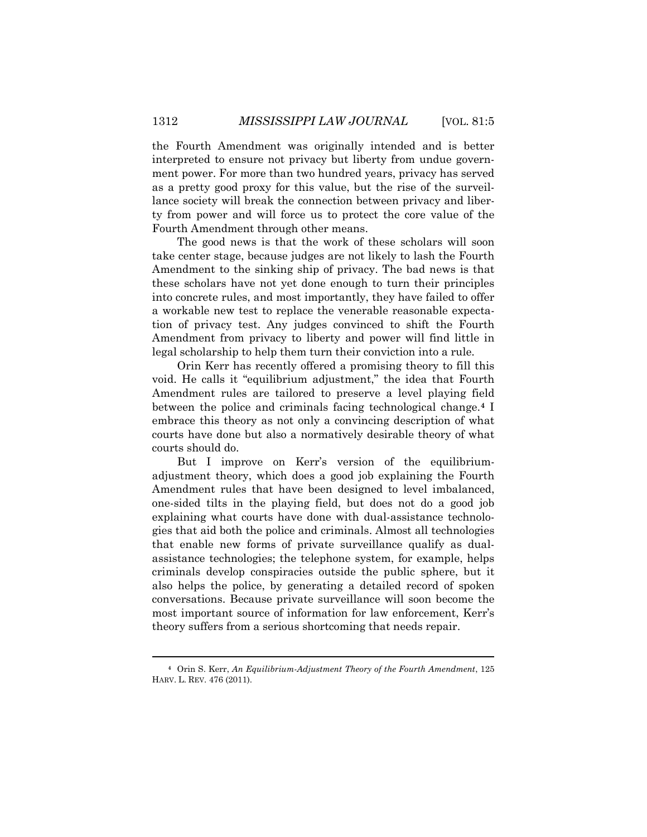the Fourth Amendment was originally intended and is better interpreted to ensure not privacy but liberty from undue government power. For more than two hundred years, privacy has served as a pretty good proxy for this value, but the rise of the surveillance society will break the connection between privacy and liberty from power and will force us to protect the core value of the Fourth Amendment through other means.

The good news is that the work of these scholars will soon take center stage, because judges are not likely to lash the Fourth Amendment to the sinking ship of privacy. The bad news is that these scholars have not yet done enough to turn their principles into concrete rules, and most importantly, they have failed to offer a workable new test to replace the venerable reasonable expectation of privacy test. Any judges convinced to shift the Fourth Amendment from privacy to liberty and power will find little in legal scholarship to help them turn their conviction into a rule.

Orin Kerr has recently offered a promising theory to fill this void. He calls it "equilibrium adjustment," the idea that Fourth Amendment rules are tailored to preserve a level playing field between the police and criminals facing technological change.**[4](#page-3-0)** I embrace this theory as not only a convincing description of what courts have done but also a normatively desirable theory of what courts should do.

But I improve on Kerr's version of the equilibriumadjustment theory, which does a good job explaining the Fourth Amendment rules that have been designed to level imbalanced, one-sided tilts in the playing field, but does not do a good job explaining what courts have done with dual-assistance technologies that aid both the police and criminals. Almost all technologies that enable new forms of private surveillance qualify as dualassistance technologies; the telephone system, for example, helps criminals develop conspiracies outside the public sphere, but it also helps the police, by generating a detailed record of spoken conversations. Because private surveillance will soon become the most important source of information for law enforcement, Kerr's theory suffers from a serious shortcoming that needs repair.

<span id="page-3-0"></span>**<sup>4</sup>** Orin S. Kerr, *An Equilibrium-Adjustment Theory of the Fourth Amendment*, 125 HARV. L. REV. 476 (2011).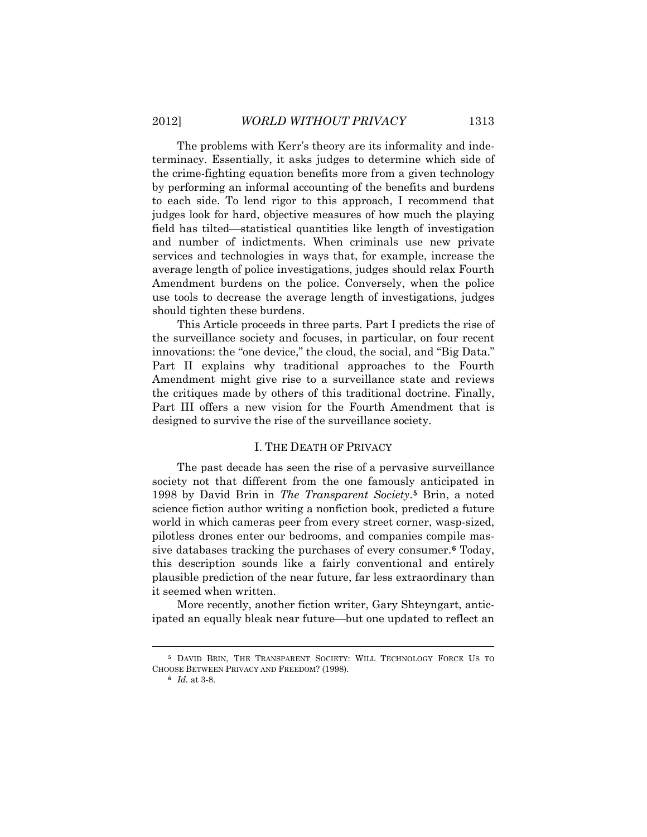The problems with Kerr's theory are its informality and indeterminacy. Essentially, it asks judges to determine which side of the crime-fighting equation benefits more from a given technology by performing an informal accounting of the benefits and burdens to each side. To lend rigor to this approach, I recommend that judges look for hard, objective measures of how much the playing field has tilted—statistical quantities like length of investigation and number of indictments. When criminals use new private services and technologies in ways that, for example, increase the average length of police investigations, judges should relax Fourth Amendment burdens on the police. Conversely, when the police use tools to decrease the average length of investigations, judges should tighten these burdens.

This Article proceeds in three parts. Part I predicts the rise of the surveillance society and focuses, in particular, on four recent innovations: the "one device," the cloud, the social, and "Big Data." Part II explains why traditional approaches to the Fourth Amendment might give rise to a surveillance state and reviews the critiques made by others of this traditional doctrine. Finally, Part III offers a new vision for the Fourth Amendment that is designed to survive the rise of the surveillance society.

## I. THE DEATH OF PRIVACY

The past decade has seen the rise of a pervasive surveillance society not that different from the one famously anticipated in 1998 by David Brin in *The Transparent Society*.**[5](#page-4-0)** Brin, a noted science fiction author writing a nonfiction book, predicted a future world in which cameras peer from every street corner, wasp-sized, pilotless drones enter our bedrooms, and companies compile massive databases tracking the purchases of every consumer.**[6](#page-4-1)** Today, this description sounds like a fairly conventional and entirely plausible prediction of the near future, far less extraordinary than it seemed when written.

More recently, another fiction writer, Gary Shteyngart, anticipated an equally bleak near future—but one updated to reflect an

<span id="page-4-1"></span><span id="page-4-0"></span>**<sup>5</sup>** DAVID BRIN, THE TRANSPARENT SOCIETY: WILL TECHNOLOGY FORCE US TO CHOOSE BETWEEN PRIVACY AND FREEDOM? (1998).

**<sup>6</sup>** *Id.* at 3-8.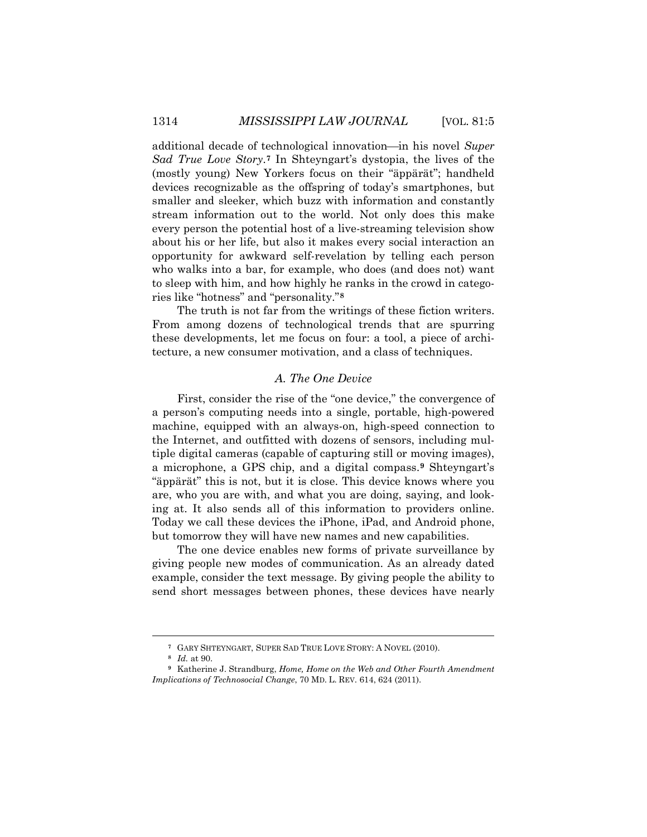additional decade of technological innovation—in his novel *Super Sad True Love Story*.**[7](#page-5-0)** In Shteyngart's dystopia, the lives of the (mostly young) New Yorkers focus on their "äppärät"; handheld devices recognizable as the offspring of today's smartphones, but smaller and sleeker, which buzz with information and constantly stream information out to the world. Not only does this make every person the potential host of a live-streaming television show about his or her life, but also it makes every social interaction an opportunity for awkward self-revelation by telling each person who walks into a bar, for example, who does (and does not) want to sleep with him, and how highly he ranks in the crowd in categories like "hotness" and "personality."**[8](#page-5-1)**

The truth is not far from the writings of these fiction writers. From among dozens of technological trends that are spurring these developments, let me focus on four: a tool, a piece of architecture, a new consumer motivation, and a class of techniques.

### *A. The One Device*

First, consider the rise of the "one device," the convergence of a person's computing needs into a single, portable, high-powered machine, equipped with an always-on, high-speed connection to the Internet, and outfitted with dozens of sensors, including multiple digital cameras (capable of capturing still or moving images), a microphone, a GPS chip, and a digital compass.**[9](#page-5-2)** Shteyngart's "äppärät" this is not, but it is close. This device knows where you are, who you are with, and what you are doing, saying, and looking at. It also sends all of this information to providers online. Today we call these devices the iPhone, iPad, and Android phone, but tomorrow they will have new names and new capabilities.

The one device enables new forms of private surveillance by giving people new modes of communication. As an already dated example, consider the text message. By giving people the ability to send short messages between phones, these devices have nearly

**<sup>7</sup>** GARY SHTEYNGART, SUPER SAD TRUE LOVE STORY: A NOVEL (2010).

**<sup>8</sup>** *Id.* at 90.

<span id="page-5-2"></span><span id="page-5-1"></span><span id="page-5-0"></span>**<sup>9</sup>** Katherine J. Strandburg, *Home, Home on the Web and Other Fourth Amendment Implications of Technosocial Change*, 70 MD. L. REV. 614, 624 (2011).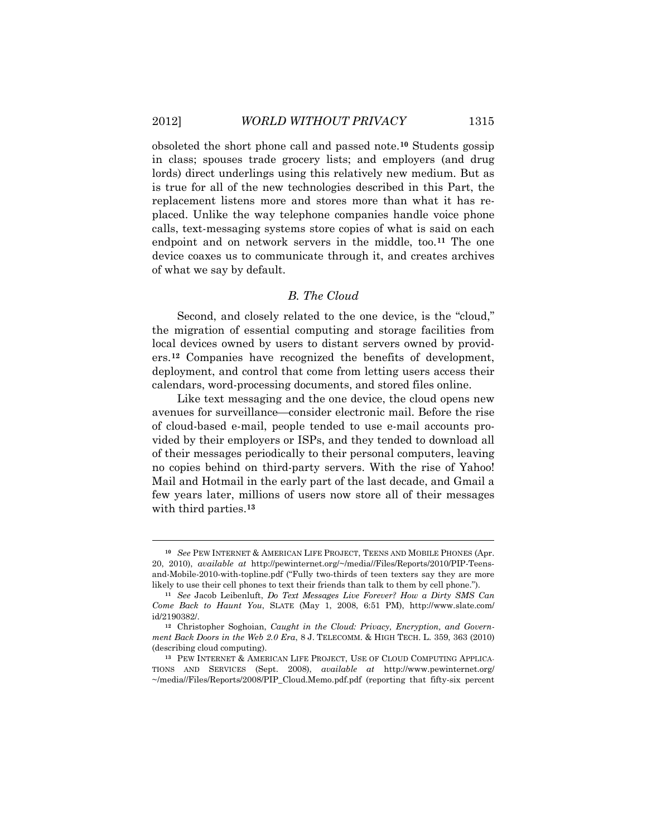$\overline{a}$ 

obsoleted the short phone call and passed note.**[10](#page-6-0)** Students gossip in class; spouses trade grocery lists; and employers (and drug lords) direct underlings using this relatively new medium. But as is true for all of the new technologies described in this Part, the replacement listens more and stores more than what it has replaced. Unlike the way telephone companies handle voice phone calls, text-messaging systems store copies of what is said on each endpoint and on network servers in the middle, too.**[11](#page-6-1)** The one device coaxes us to communicate through it, and creates archives of what we say by default.

## *B. The Cloud*

Second, and closely related to the one device, is the "cloud," the migration of essential computing and storage facilities from local devices owned by users to distant servers owned by providers.**[12](#page-6-2)** Companies have recognized the benefits of development, deployment, and control that come from letting users access their calendars, word-processing documents, and stored files online.

Like text messaging and the one device, the cloud opens new avenues for surveillance—consider electronic mail. Before the rise of cloud-based e-mail, people tended to use e-mail accounts provided by their employers or ISPs, and they tended to download all of their messages periodically to their personal computers, leaving no copies behind on third-party servers. With the rise of Yahoo! Mail and Hotmail in the early part of the last decade, and Gmail a few years later, millions of users now store all of their messages with third parties. **[13](#page-6-3)**

<span id="page-6-0"></span>**<sup>10</sup>** *See* PEW INTERNET & AMERICAN LIFE PROJECT, TEENS AND MOBILE PHONES (Apr. 20, 2010), *available at* http://pewinternet.org/~/media//Files/Reports/2010/PIP-Teensand-Mobile-2010-with-topline.pdf ("Fully two-thirds of teen texters say they are more likely to use their cell phones to text their friends than talk to them by cell phone.").

<span id="page-6-1"></span>**<sup>11</sup>** *See* Jacob Leibenluft, *Do Text Messages Live Forever? How a Dirty SMS Can Come Back to Haunt You*, SLATE (May 1, 2008, 6:51 PM), http://www.slate.com/ id/2190382/.

<span id="page-6-2"></span>**<sup>12</sup>** Christopher Soghoian, *Caught in the Cloud: Privacy, Encryption, and Government Back Doors in the Web 2.0 Era*, 8 J. TELECOMM. & HIGH TECH. L. 359, 363 (2010) (describing cloud computing).

<span id="page-6-3"></span>**<sup>13</sup>** PEW INTERNET & AMERICAN LIFE PROJECT, USE OF CLOUD COMPUTING APPLICA-TIONS AND SERVICES (Sept. 2008), *available at* http://www.pewinternet.org/ ~/media//Files/Reports/2008/PIP\_Cloud.Memo.pdf.pdf (reporting that fifty-six percent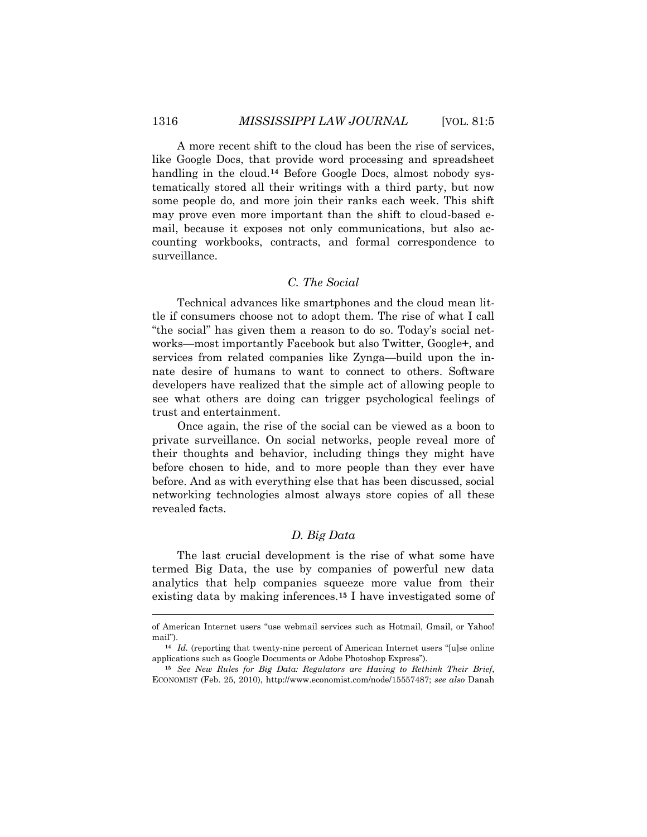A more recent shift to the cloud has been the rise of services, like Google Docs, that provide word processing and spreadsheet handling in the cloud.**[14](#page-7-0)** Before Google Docs, almost nobody systematically stored all their writings with a third party, but now some people do, and more join their ranks each week. This shift may prove even more important than the shift to cloud-based email, because it exposes not only communications, but also accounting workbooks, contracts, and formal correspondence to surveillance.

## *C. The Social*

Technical advances like smartphones and the cloud mean little if consumers choose not to adopt them. The rise of what I call "the social" has given them a reason to do so. Today's social networks—most importantly Facebook but also Twitter, Google+, and services from related companies like Zynga—build upon the innate desire of humans to want to connect to others. Software developers have realized that the simple act of allowing people to see what others are doing can trigger psychological feelings of trust and entertainment.

Once again, the rise of the social can be viewed as a boon to private surveillance. On social networks, people reveal more of their thoughts and behavior, including things they might have before chosen to hide, and to more people than they ever have before. And as with everything else that has been discussed, social networking technologies almost always store copies of all these revealed facts.

## *D. Big Data*

The last crucial development is the rise of what some have termed Big Data, the use by companies of powerful new data analytics that help companies squeeze more value from their existing data by making inferences.**[15](#page-7-1)** I have investigated some of

of American Internet users "use webmail services such as Hotmail, Gmail, or Yahoo! mail").

<span id="page-7-0"></span>**<sup>14</sup>** *Id.* (reporting that twenty-nine percent of American Internet users "[u]se online applications such as Google Documents or Adobe Photoshop Express").

<span id="page-7-1"></span>**<sup>15</sup>** *See New Rules for Big Data: Regulators are Having to Rethink Their Brief*, ECONOMIST (Feb. 25, 2010), http://www.economist.com/node/15557487; *see also* Danah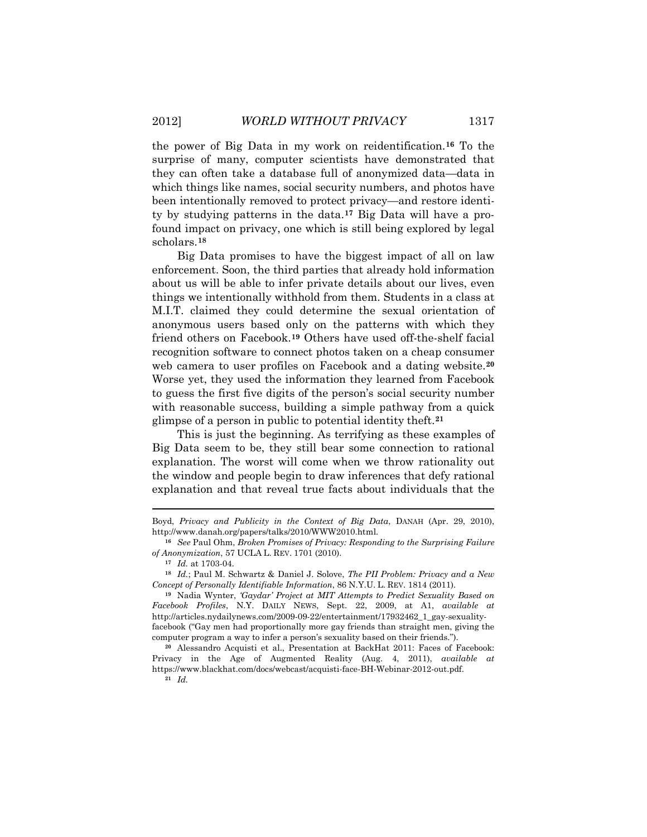the power of Big Data in my work on reidentification.**[16](#page-8-0)** To the surprise of many, computer scientists have demonstrated that they can often take a database full of anonymized data—data in which things like names, social security numbers, and photos have been intentionally removed to protect privacy—and restore identity by studying patterns in the data.**[17](#page-8-1)** Big Data will have a profound impact on privacy, one which is still being explored by legal scholars.**[18](#page-8-2)**

Big Data promises to have the biggest impact of all on law enforcement. Soon, the third parties that already hold information about us will be able to infer private details about our lives, even things we intentionally withhold from them. Students in a class at M.I.T. claimed they could determine the sexual orientation of anonymous users based only on the patterns with which they friend others on Facebook.**[19](#page-8-3)** Others have used off-the-shelf facial recognition software to connect photos taken on a cheap consumer web camera to user profiles on Facebook and a dating website.**[20](#page-8-4)** Worse yet, they used the information they learned from Facebook to guess the first five digits of the person's social security number with reasonable success, building a simple pathway from a quick glimpse of a person in public to potential identity theft.**[21](#page-8-5)**

This is just the beginning. As terrifying as these examples of Big Data seem to be, they still bear some connection to rational explanation. The worst will come when we throw rationality out the window and people begin to draw inferences that defy rational explanation and that reveal true facts about individuals that the

**<sup>21</sup>** *Id.*

Boyd, *Privacy and Publicity in the Context of Big Data*, DANAH (Apr. 29, 2010), http://www.danah.org/papers/talks/2010/WWW2010.html.

<span id="page-8-0"></span>**<sup>16</sup>** *See* Paul Ohm, *Broken Promises of Privacy: Responding to the Surprising Failure of Anonymization*, 57 UCLA L. REV. 1701 (2010).

**<sup>17</sup>** *Id.* at 1703-04.

<span id="page-8-2"></span><span id="page-8-1"></span>**<sup>18</sup>** *Id.*; Paul M. Schwartz & Daniel J. Solove, *The PII Problem: Privacy and a New Concept of Personally Identifiable Information*, 86 N.Y.U. L. REV. 1814 (2011).

<span id="page-8-3"></span>**<sup>19</sup>** Nadia Wynter, *'Gaydar' Project at MIT Attempts to Predict Sexuality Based on Facebook Profiles*, N.Y. DAILY NEWS, Sept. 22, 2009, at A1, *available at* http://articles.nydailynews.com/2009-09-22/entertainment/17932462\_1\_gay-sexualityfacebook ("Gay men had proportionally more gay friends than straight men, giving the computer program a way to infer a person's sexuality based on their friends.").

<span id="page-8-5"></span><span id="page-8-4"></span>**<sup>20</sup>** Alessandro Acquisti et al., Presentation at BackHat 2011: Faces of Facebook: Privacy in the Age of Augmented Reality (Aug. 4, 2011), *available at*  https://www.blackhat.com/docs/webcast/acquisti-face-BH-Webinar-2012-out.pdf.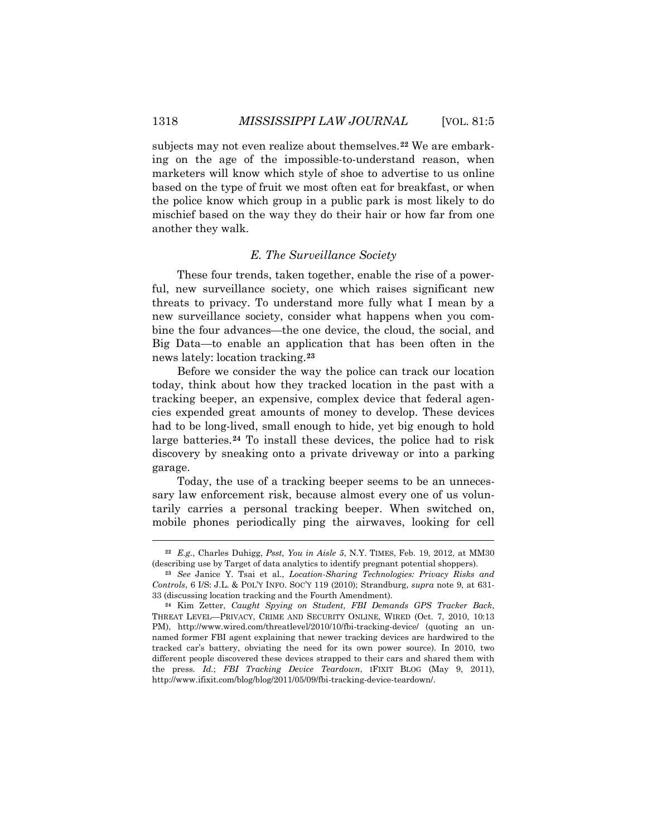subjects may not even realize about themselves.**[22](#page-9-0)** We are embarking on the age of the impossible-to-understand reason, when marketers will know which style of shoe to advertise to us online based on the type of fruit we most often eat for breakfast, or when the police know which group in a public park is most likely to do mischief based on the way they do their hair or how far from one another they walk.

## *E. The Surveillance Society*

These four trends, taken together, enable the rise of a powerful, new surveillance society, one which raises significant new threats to privacy. To understand more fully what I mean by a new surveillance society, consider what happens when you combine the four advances—the one device, the cloud, the social, and Big Data—to enable an application that has been often in the news lately: location tracking.**[23](#page-9-1)**

Before we consider the way the police can track our location today, think about how they tracked location in the past with a tracking beeper, an expensive, complex device that federal agencies expended great amounts of money to develop. These devices had to be long-lived, small enough to hide, yet big enough to hold large batteries.**[24](#page-9-2)** To install these devices, the police had to risk discovery by sneaking onto a private driveway or into a parking garage.

Today, the use of a tracking beeper seems to be an unnecessary law enforcement risk, because almost every one of us voluntarily carries a personal tracking beeper. When switched on, mobile phones periodically ping the airwaves, looking for cell

<span id="page-9-0"></span>**<sup>22</sup>** *E.g.*, Charles Duhigg, *Psst, You in Aisle 5*, N.Y. TIMES, Feb. 19, 2012, at MM30 (describing use by Target of data analytics to identify pregnant potential shoppers).

<span id="page-9-1"></span>**<sup>23</sup>** *See* Janice Y. Tsai et al., *Location-Sharing Technologies: Privacy Risks and Controls*, 6 I/S: J.L. & POL'Y INFO. SOC'Y 119 (2010); Strandburg, *supra* note 9, at 631- 33 (discussing location tracking and the Fourth Amendment).

<span id="page-9-2"></span>**<sup>24</sup>** Kim Zetter, *Caught Spying on Student, FBI Demands GPS Tracker Back*, THREAT LEVEL—PRIVACY, CRIME AND SECURITY ONLINE, WIRED (Oct. 7, 2010, 10:13 PM), http://www.wired.com/threatlevel/2010/10/fbi-tracking-device/ (quoting an unnamed former FBI agent explaining that newer tracking devices are hardwired to the tracked car's battery, obviating the need for its own power source). In 2010, two different people discovered these devices strapped to their cars and shared them with the press. *Id.*; *FBI Tracking Device Teardown*, IFIXIT BLOG (May 9, 2011), http://www.ifixit.com/blog/blog/2011/05/09/fbi-tracking-device-teardown/.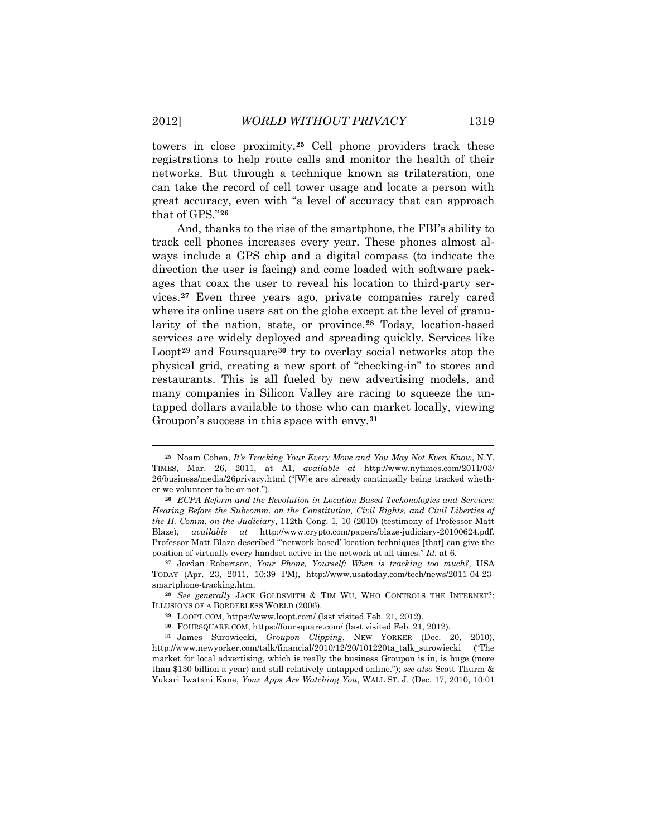towers in close proximity.**[25](#page-10-0)** Cell phone providers track these registrations to help route calls and monitor the health of their networks. But through a technique known as trilateration, one can take the record of cell tower usage and locate a person with great accuracy, even with "a level of accuracy that can approach that of GPS."**[26](#page-10-1)**

And, thanks to the rise of the smartphone, the FBI's ability to track cell phones increases every year. These phones almost always include a GPS chip and a digital compass (to indicate the direction the user is facing) and come loaded with software packages that coax the user to reveal his location to third-party services.**[27](#page-10-2)** Even three years ago, private companies rarely cared where its online users sat on the globe except at the level of granularity of the nation, state, or province.**[28](#page-10-3)** Today, location-based services are widely deployed and spreading quickly. Services like Loopt**[29](#page-10-4)** and Foursquare**[30](#page-10-5)** try to overlay social networks atop the physical grid, creating a new sport of "checking-in" to stores and restaurants. This is all fueled by new advertising models, and many companies in Silicon Valley are racing to squeeze the untapped dollars available to those who can market locally, viewing Groupon's success in this space with envy.**[31](#page-10-6)**

<span id="page-10-0"></span>**<sup>25</sup>** Noam Cohen, *It's Tracking Your Every Move and You May Not Even Know*, N.Y. TIMES, Mar. 26, 2011, at A1, *available at* http://www.nytimes.com/2011/03/ 26/business/media/26privacy.html ("[W]e are already continually being tracked whether we volunteer to be or not.").

<span id="page-10-1"></span>**<sup>26</sup>** *ECPA Reform and the Revolution in Location Based Techonologies and Services: Hearing Before the Subcomm. on the Constitution, Civil Rights, and Civil Liberties of the H. Comm. on the Judiciary*, 112th Cong. 1, 10 (2010) (testimony of Professor Matt Blaze), *available at* http://www.crypto.com/papers/blaze-judiciary-20100624.pdf. Professor Matt Blaze described "'network based' location techniques [that] can give the position of virtually every handset active in the network at all times." *Id.* at 6.

<span id="page-10-2"></span>**<sup>27</sup>** Jordan Robertson, *Your Phone, Yourself: When is tracking too much?*, USA TODAY (Apr. 23, 2011, 10:39 PM), http://www.usatoday.com/tech/news/2011-04-23 smartphone-tracking.htm.

<span id="page-10-3"></span>**<sup>28</sup>** *See generally* JACK GOLDSMITH & TIM WU, WHO CONTROLS THE INTERNET?: ILLUSIONS OF A BORDERLESS WORLD (2006).

**<sup>29</sup>** LOOPT.COM, https://www.loopt.com/ (last visited Feb. 21, 2012).

**<sup>30</sup>** FOURSQUARE.COM, https://foursquare.com/ (last visited Feb. 21, 2012).

<span id="page-10-6"></span><span id="page-10-5"></span><span id="page-10-4"></span>**<sup>31</sup>** James Surowiecki, *Groupon Clipping*, NEW YORKER (Dec. 20, 2010), http://www.newyorker.com/talk/financial/2010/12/20/101220ta\_talk\_surowiecki ("The market for local advertising, which is really the business Groupon is in, is huge (more than \$130 billion a year) and still relatively untapped online."); *see also* Scott Thurm & Yukari Iwatani Kane, *Your Apps Are Watching You*, WALL ST. J. (Dec. 17, 2010, 10:01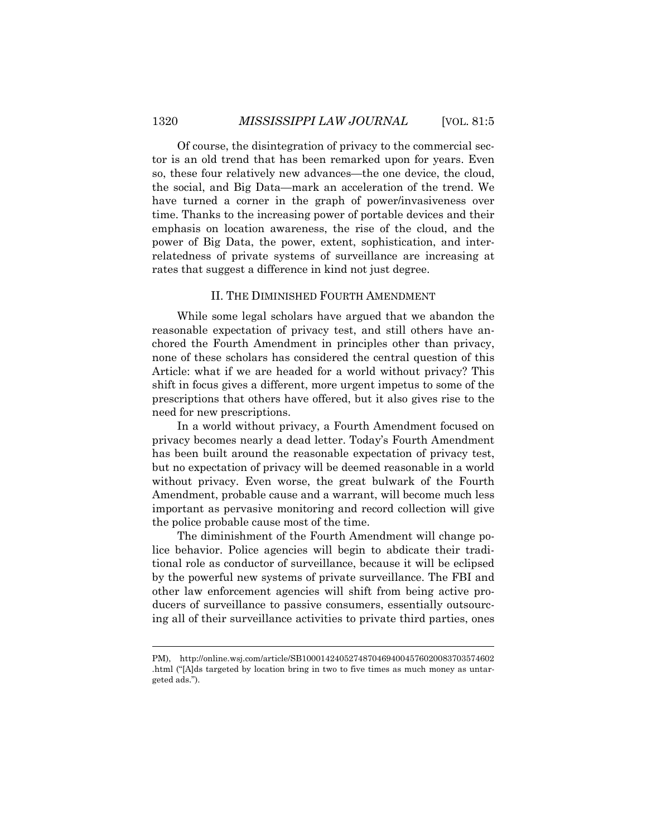Of course, the disintegration of privacy to the commercial sector is an old trend that has been remarked upon for years. Even so, these four relatively new advances—the one device, the cloud, the social, and Big Data—mark an acceleration of the trend. We have turned a corner in the graph of power/invasiveness over time. Thanks to the increasing power of portable devices and their emphasis on location awareness, the rise of the cloud, and the power of Big Data, the power, extent, sophistication, and interrelatedness of private systems of surveillance are increasing at rates that suggest a difference in kind not just degree.

## II. THE DIMINISHED FOURTH AMENDMENT

While some legal scholars have argued that we abandon the reasonable expectation of privacy test, and still others have anchored the Fourth Amendment in principles other than privacy, none of these scholars has considered the central question of this Article: what if we are headed for a world without privacy? This shift in focus gives a different, more urgent impetus to some of the prescriptions that others have offered, but it also gives rise to the need for new prescriptions.

In a world without privacy, a Fourth Amendment focused on privacy becomes nearly a dead letter. Today's Fourth Amendment has been built around the reasonable expectation of privacy test, but no expectation of privacy will be deemed reasonable in a world without privacy. Even worse, the great bulwark of the Fourth Amendment, probable cause and a warrant, will become much less important as pervasive monitoring and record collection will give the police probable cause most of the time.

The diminishment of the Fourth Amendment will change police behavior. Police agencies will begin to abdicate their traditional role as conductor of surveillance, because it will be eclipsed by the powerful new systems of private surveillance. The FBI and other law enforcement agencies will shift from being active producers of surveillance to passive consumers, essentially outsourcing all of their surveillance activities to private third parties, ones

PM), http://online.wsj.com/article/SB10001424052748704694004576020083703574602 .html ("[A]ds targeted by location bring in two to five times as much money as untargeted ads.").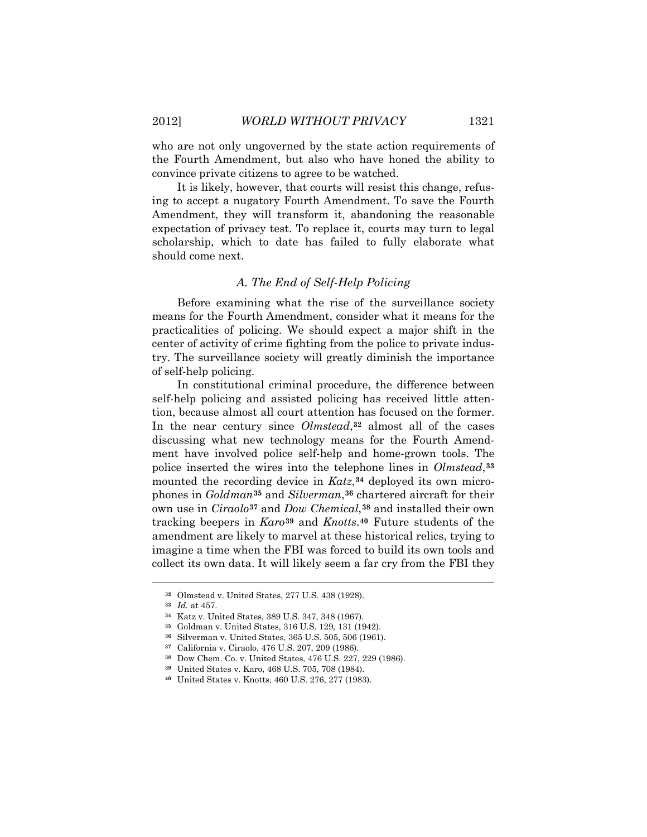who are not only ungoverned by the state action requirements of the Fourth Amendment, but also who have honed the ability to convince private citizens to agree to be watched.

It is likely, however, that courts will resist this change, refusing to accept a nugatory Fourth Amendment. To save the Fourth Amendment, they will transform it, abandoning the reasonable expectation of privacy test. To replace it, courts may turn to legal scholarship, which to date has failed to fully elaborate what should come next.

### *A. The End of Self-Help Policing*

Before examining what the rise of the surveillance society means for the Fourth Amendment, consider what it means for the practicalities of policing. We should expect a major shift in the center of activity of crime fighting from the police to private industry. The surveillance society will greatly diminish the importance of self-help policing.

In constitutional criminal procedure, the difference between self-help policing and assisted policing has received little attention, because almost all court attention has focused on the former. In the near century since *Olmstead*,**[32](#page-12-0)** almost all of the cases discussing what new technology means for the Fourth Amendment have involved police self-help and home-grown tools. The police inserted the wires into the telephone lines in *Olmstead*,**[33](#page-12-1)** mounted the recording device in *Katz*,**[34](#page-12-2)** deployed its own microphones in *Goldman***[35](#page-12-3)** and *Silverman*,**[36](#page-12-4)** chartered aircraft for their own use in *Ciraolo***[37](#page-12-5)** and *Dow Chemical*,**[38](#page-12-6)** and installed their own tracking beepers in *Karo***[39](#page-12-7)** and *Knotts*.**[40](#page-12-8)** Future students of the amendment are likely to marvel at these historical relics, trying to imagine a time when the FBI was forced to build its own tools and collect its own data. It will likely seem a far cry from the FBI they

<span id="page-12-0"></span>**<sup>32</sup>** Olmstead v. United States, 277 U.S. 438 (1928).

<span id="page-12-1"></span>**<sup>33</sup>** *Id.* at 457.

<span id="page-12-2"></span>**<sup>34</sup>** Katz v. United States, 389 U.S. 347, 348 (1967).

<span id="page-12-3"></span>**<sup>35</sup>** Goldman v. United States, 316 U.S. 129, 131 (1942).

<span id="page-12-4"></span>**<sup>36</sup>** Silverman v. United States, 365 U.S. 505, 506 (1961).

**<sup>37</sup>** California v. Ciraolo, 476 U.S. 207, 209 (1986).

<span id="page-12-7"></span><span id="page-12-6"></span><span id="page-12-5"></span>**<sup>38</sup>** Dow Chem. Co. v. United States, 476 U.S. 227, 229 (1986).

**<sup>39</sup>** United States v. Karo, 468 U.S. 705, 708 (1984).

<span id="page-12-8"></span>**<sup>40</sup>** United States v. Knotts, 460 U.S. 276, 277 (1983).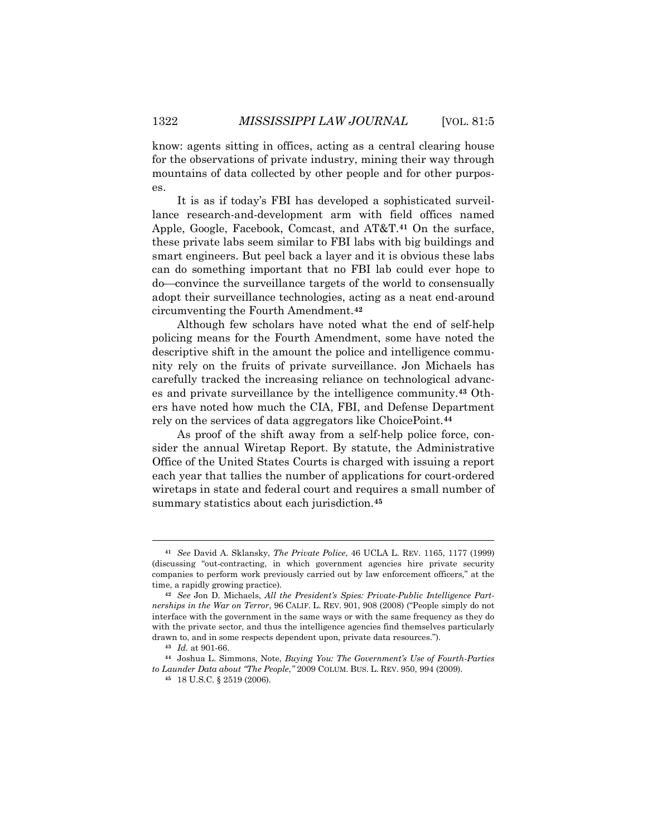know: agents sitting in offices, acting as a central clearing house for the observations of private industry, mining their way through mountains of data collected by other people and for other purposes.

It is as if today's FBI has developed a sophisticated surveillance research-and-development arm with field offices named Apple, Google, Facebook, Comcast, and AT&T.**[41](#page-13-0)** On the surface, these private labs seem similar to FBI labs with big buildings and smart engineers. But peel back a layer and it is obvious these labs can do something important that no FBI lab could ever hope to do—convince the surveillance targets of the world to consensually adopt their surveillance technologies, acting as a neat end-around circumventing the Fourth Amendment.**[42](#page-13-1)**

Although few scholars have noted what the end of self-help policing means for the Fourth Amendment, some have noted the descriptive shift in the amount the police and intelligence community rely on the fruits of private surveillance. Jon Michaels has carefully tracked the increasing reliance on technological advances and private surveillance by the intelligence community.**[43](#page-13-2)** Others have noted how much the CIA, FBI, and Defense Department rely on the services of data aggregators like ChoicePoint.**[44](#page-13-3)**

As proof of the shift away from a self-help police force, consider the annual Wiretap Report. By statute, the Administrative Office of the United States Courts is charged with issuing a report each year that tallies the number of applications for court-ordered wiretaps in state and federal court and requires a small number of summary statistics about each jurisdiction.**[45](#page-13-4)**

<span id="page-13-0"></span>**<sup>41</sup>** *See* David A. Sklansky, *The Private Police*, 46 UCLA L. REV. 1165, 1177 (1999) (discussing "out-contracting, in which government agencies hire private security companies to perform work previously carried out by law enforcement officers," at the time, a rapidly growing practice).

<span id="page-13-1"></span>**<sup>42</sup>** *See* Jon D. Michaels, *All the President's Spies: Private-Public Intelligence Partnerships in the War on Terror*, 96 CALIF. L. REV. 901, 908 (2008) ("People simply do not interface with the government in the same ways or with the same frequency as they do with the private sector, and thus the intelligence agencies find themselves particularly drawn to, and in some respects dependent upon, private data resources.").

**<sup>43</sup>** *Id.* at 901-66.

<span id="page-13-4"></span><span id="page-13-3"></span><span id="page-13-2"></span>**<sup>44</sup>** Joshua L. Simmons, Note, *Buying You: The Government's Use of Fourth-Parties to Launder Data about "The People*,*"* 2009 COLUM. BUS. L. REV. 950, 994 (2009).

**<sup>45</sup>** 18 U.S.C. § 2519 (2006).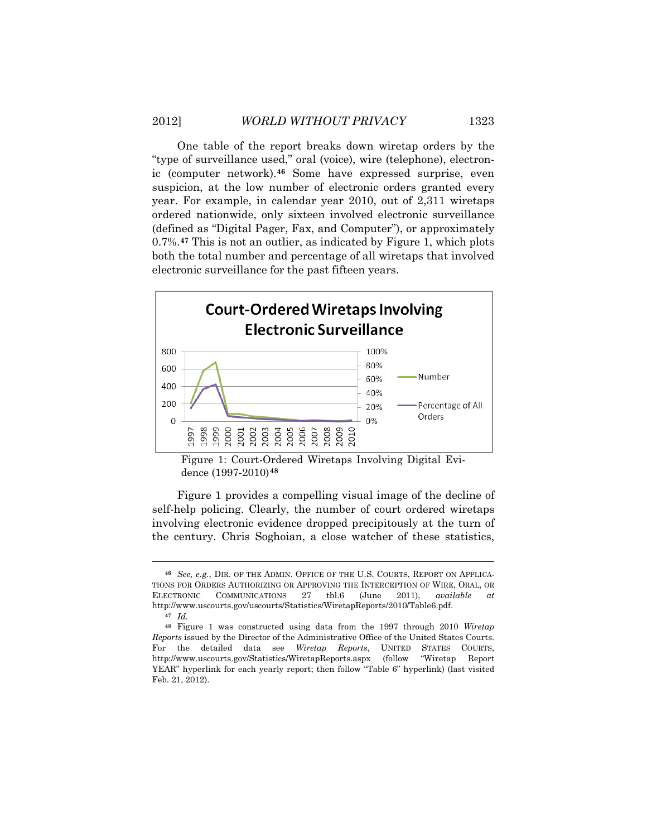One table of the report breaks down wiretap orders by the "type of surveillance used," oral (voice), wire (telephone), electronic (computer network).**[46](#page-14-0)** Some have expressed surprise, even suspicion, at the low number of electronic orders granted every year. For example, in calendar year 2010, out of 2,311 wiretaps ordered nationwide, only sixteen involved electronic surveillance (defined as "Digital Pager, Fax, and Computer"), or approximately 0.7%.**[47](#page-14-1)** This is not an outlier, as indicated by Figure 1, which plots both the total number and percentage of all wiretaps that involved electronic surveillance for the past fifteen years.



Figure 1: Court-Ordered Wiretaps Involving Digital Evidence (1997-2010)**[48](#page-14-2)**

Figure 1 provides a compelling visual image of the decline of self-help policing. Clearly, the number of court ordered wiretaps involving electronic evidence dropped precipitously at the turn of the century. Chris Soghoian, a close watcher of these statistics,

<span id="page-14-0"></span>**<sup>46</sup>** *See, e.g.*, DIR. OF THE ADMIN. OFFICE OF THE U.S. COURTS, REPORT ON APPLICA-TIONS FOR ORDERS AUTHORIZING OR APPROVING THE INTERCEPTION OF WIRE, ORAL, OR ELECTRONIC COMMUNICATIONS 27 tbl.6 (June 2011), *available at* http://www.uscourts.gov/uscourts/Statistics/WiretapReports/2010/Table6.pdf.

**<sup>47</sup>** *Id.*

<span id="page-14-2"></span><span id="page-14-1"></span>**<sup>48</sup>** Figure 1 was constructed using data from the 1997 through 2010 *Wiretap Reports* issued by the Director of the Administrative Office of the United States Courts. For the detailed data see *Wiretap Reports*, UNITED STATES COURTS, http://www.uscourts.gov/Statistics/WiretapReports.aspx (follow "Wiretap Report YEAR" hyperlink for each yearly report; then follow "Table 6" hyperlink) (last visited Feb. 21, 2012).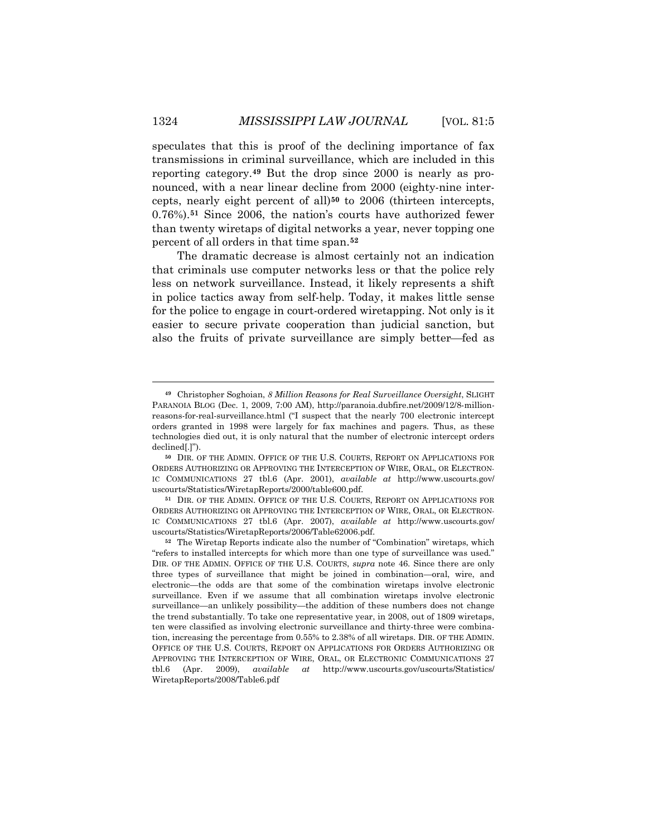speculates that this is proof of the declining importance of fax transmissions in criminal surveillance, which are included in this reporting category.**[49](#page-15-0)** But the drop since 2000 is nearly as pronounced, with a near linear decline from 2000 (eighty-nine intercepts, nearly eight percent of all)**[50](#page-15-1)** to 2006 (thirteen intercepts, 0.76%).**[51](#page-15-2)** Since 2006, the nation's courts have authorized fewer than twenty wiretaps of digital networks a year, never topping one percent of all orders in that time span.**[52](#page-15-3)**

The dramatic decrease is almost certainly not an indication that criminals use computer networks less or that the police rely less on network surveillance. Instead, it likely represents a shift in police tactics away from self-help. Today, it makes little sense for the police to engage in court-ordered wiretapping. Not only is it easier to secure private cooperation than judicial sanction, but also the fruits of private surveillance are simply better—fed as

<span id="page-15-0"></span>**<sup>49</sup>** Christopher Soghoian, *8 Million Reasons for Real Surveillance Oversight*, SLIGHT PARANOIA BLOG (Dec. 1, 2009, 7:00 AM), http://paranoia.dubfire.net/2009/12/8-millionreasons-for-real-surveillance.html ("I suspect that the nearly 700 electronic intercept orders granted in 1998 were largely for fax machines and pagers. Thus, as these technologies died out, it is only natural that the number of electronic intercept orders declined[.]").

<span id="page-15-1"></span>**<sup>50</sup>** DIR. OF THE ADMIN. OFFICE OF THE U.S. COURTS, REPORT ON APPLICATIONS FOR ORDERS AUTHORIZING OR APPROVING THE INTERCEPTION OF WIRE, ORAL, OR ELECTRON-IC COMMUNICATIONS 27 tbl.6 (Apr. 2001), *available at* http://www.uscourts.gov/ uscourts/Statistics/WiretapReports/2000/table600.pdf.

<span id="page-15-2"></span>**<sup>51</sup>** DIR. OF THE ADMIN. OFFICE OF THE U.S. COURTS, REPORT ON APPLICATIONS FOR ORDERS AUTHORIZING OR APPROVING THE INTERCEPTION OF WIRE, ORAL, OR ELECTRON-IC COMMUNICATIONS 27 tbl.6 (Apr. 2007), *available at* http://www.uscourts.gov/ uscourts/Statistics/WiretapReports/2006/Table62006.pdf.

<span id="page-15-3"></span>**<sup>52</sup>** The Wiretap Reports indicate also the number of "Combination" wiretaps, which "refers to installed intercepts for which more than one type of surveillance was used." DIR. OF THE ADMIN. OFFICE OF THE U.S. COURTS, *supra* note 46. Since there are only three types of surveillance that might be joined in combination—oral, wire, and electronic—the odds are that some of the combination wiretaps involve electronic surveillance. Even if we assume that all combination wiretaps involve electronic surveillance—an unlikely possibility—the addition of these numbers does not change the trend substantially. To take one representative year, in 2008, out of 1809 wiretaps, ten were classified as involving electronic surveillance and thirty-three were combination, increasing the percentage from 0.55% to 2.38% of all wiretaps. DIR. OF THE ADMIN. OFFICE OF THE U.S. COURTS, REPORT ON APPLICATIONS FOR ORDERS AUTHORIZING OR APPROVING THE INTERCEPTION OF WIRE, ORAL, OR ELECTRONIC COMMUNICATIONS 27 tbl.6 (Apr. 2009), *available at* http://www.uscourts.gov/uscourts/Statistics/ WiretapReports/2008/Table6.pdf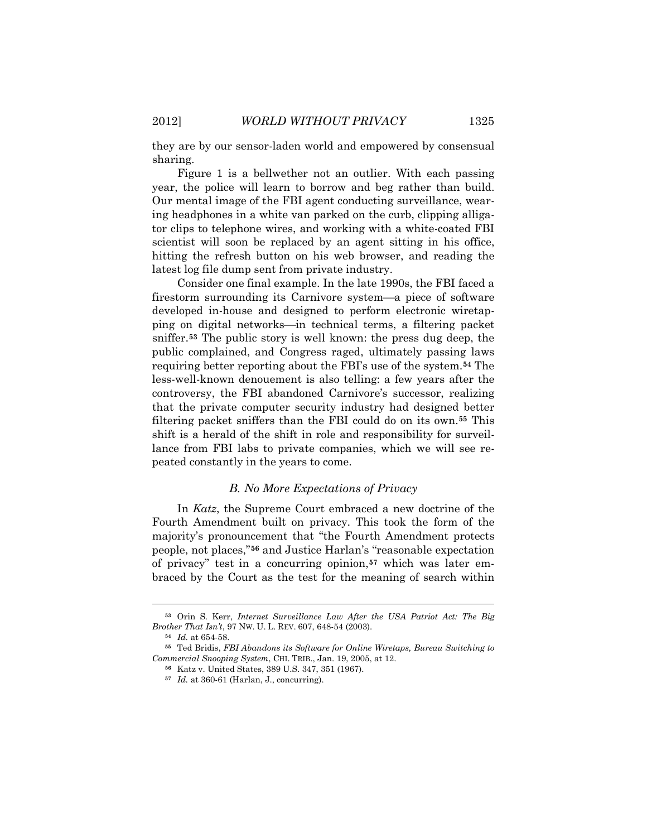they are by our sensor-laden world and empowered by consensual sharing.

Figure 1 is a bellwether not an outlier. With each passing year, the police will learn to borrow and beg rather than build. Our mental image of the FBI agent conducting surveillance, wearing headphones in a white van parked on the curb, clipping alligator clips to telephone wires, and working with a white-coated FBI scientist will soon be replaced by an agent sitting in his office, hitting the refresh button on his web browser, and reading the latest log file dump sent from private industry.

Consider one final example. In the late 1990s, the FBI faced a firestorm surrounding its Carnivore system—a piece of software developed in-house and designed to perform electronic wiretapping on digital networks—in technical terms, a filtering packet sniffer.**[53](#page-16-0)** The public story is well known: the press dug deep, the public complained, and Congress raged, ultimately passing laws requiring better reporting about the FBI's use of the system.**[54](#page-16-1)** The less-well-known denouement is also telling: a few years after the controversy, the FBI abandoned Carnivore's successor, realizing that the private computer security industry had designed better filtering packet sniffers than the FBI could do on its own.**[55](#page-16-2)** This shift is a herald of the shift in role and responsibility for surveillance from FBI labs to private companies, which we will see repeated constantly in the years to come.

### *B. No More Expectations of Privacy*

In *Katz*, the Supreme Court embraced a new doctrine of the Fourth Amendment built on privacy. This took the form of the majority's pronouncement that "the Fourth Amendment protects people, not places,"**[56](#page-16-3)** and Justice Harlan's "reasonable expectation of privacy" test in a concurring opinion,**[57](#page-16-4)** which was later embraced by the Court as the test for the meaning of search within

<span id="page-16-0"></span>**<sup>53</sup>** Orin S. Kerr, *Internet Surveillance Law After the USA Patriot Act: The Big Brother That Isn't*, 97 NW. U. L. REV. 607, 648-54 (2003).

**<sup>54</sup>** *Id.* at 654-58.

<span id="page-16-4"></span><span id="page-16-3"></span><span id="page-16-2"></span><span id="page-16-1"></span>**<sup>55</sup>** Ted Bridis, *FBI Abandons its Software for Online Wiretaps, Bureau Switching to Commercial Snooping System*, CHI. TRIB., Jan. 19, 2005, at 12.

**<sup>56</sup>** Katz v. United States, 389 U.S. 347, 351 (1967).

**<sup>57</sup>** *Id.* at 360-61 (Harlan, J., concurring).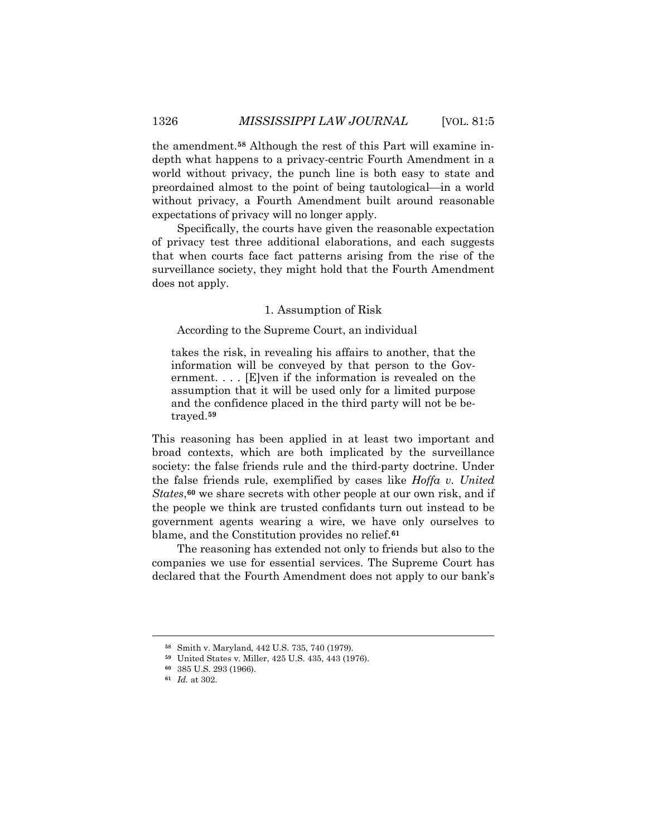the amendment.**[58](#page-17-0)** Although the rest of this Part will examine indepth what happens to a privacy-centric Fourth Amendment in a world without privacy, the punch line is both easy to state and preordained almost to the point of being tautological—in a world without privacy, a Fourth Amendment built around reasonable expectations of privacy will no longer apply.

Specifically, the courts have given the reasonable expectation of privacy test three additional elaborations, and each suggests that when courts face fact patterns arising from the rise of the surveillance society, they might hold that the Fourth Amendment does not apply.

#### 1. Assumption of Risk

### According to the Supreme Court, an individual

takes the risk, in revealing his affairs to another, that the information will be conveyed by that person to the Government. . . . [E]ven if the information is revealed on the assumption that it will be used only for a limited purpose and the confidence placed in the third party will not be betrayed.**[59](#page-17-1)**

This reasoning has been applied in at least two important and broad contexts, which are both implicated by the surveillance society: the false friends rule and the third-party doctrine. Under the false friends rule, exemplified by cases like *Hoffa v. United States*,**[60](#page-17-2)** we share secrets with other people at our own risk, and if the people we think are trusted confidants turn out instead to be government agents wearing a wire, we have only ourselves to blame, and the Constitution provides no relief.**[61](#page-17-3)**

The reasoning has extended not only to friends but also to the companies we use for essential services. The Supreme Court has declared that the Fourth Amendment does not apply to our bank's

<span id="page-17-0"></span>**<sup>58</sup>** Smith v. Maryland, 442 U.S. 735, 740 (1979).

**<sup>59</sup>** United States v. Miller, 425 U.S. 435, 443 (1976).

<span id="page-17-2"></span><span id="page-17-1"></span>**<sup>60</sup>** 385 U.S. 293 (1966).

<span id="page-17-3"></span>**<sup>61</sup>** *Id.* at 302.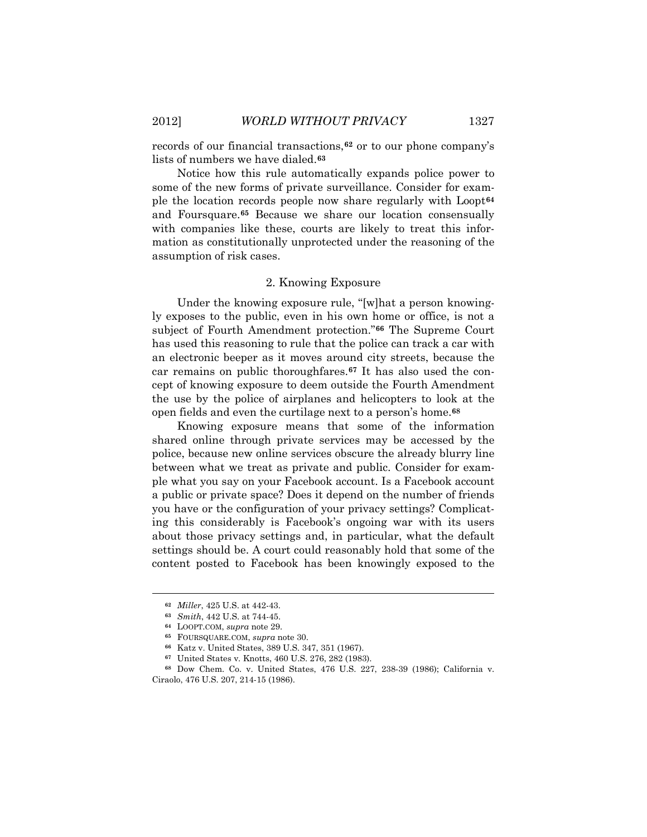records of our financial transactions,**[62](#page-18-0)** or to our phone company's lists of numbers we have dialed.**[63](#page-18-1)**

Notice how this rule automatically expands police power to some of the new forms of private surveillance. Consider for example the location records people now share regularly with Loopt**[64](#page-18-2)** and Foursquare.**[65](#page-18-3)** Because we share our location consensually with companies like these, courts are likely to treat this information as constitutionally unprotected under the reasoning of the assumption of risk cases.

#### 2. Knowing Exposure

Under the knowing exposure rule, "[w]hat a person knowingly exposes to the public, even in his own home or office, is not a subject of Fourth Amendment protection."**[66](#page-18-4)** The Supreme Court has used this reasoning to rule that the police can track a car with an electronic beeper as it moves around city streets, because the car remains on public thoroughfares.**[67](#page-18-5)** It has also used the concept of knowing exposure to deem outside the Fourth Amendment the use by the police of airplanes and helicopters to look at the open fields and even the curtilage next to a person's home.**[68](#page-18-6)**

Knowing exposure means that some of the information shared online through private services may be accessed by the police, because new online services obscure the already blurry line between what we treat as private and public. Consider for example what you say on your Facebook account. Is a Facebook account a public or private space? Does it depend on the number of friends you have or the configuration of your privacy settings? Complicating this considerably is Facebook's ongoing war with its users about those privacy settings and, in particular, what the default settings should be. A court could reasonably hold that some of the content posted to Facebook has been knowingly exposed to the

<span id="page-18-0"></span>**<sup>62</sup>** *Miller*, 425 U.S. at 442-43.

**<sup>63</sup>** *Smith*, 442 U.S. at 744-45.

**<sup>64</sup>** LOOPT.COM, *supra* note 29.

**<sup>65</sup>** FOURSQUARE.COM, *supra* note 30.

**<sup>66</sup>** Katz v. United States, 389 U.S. 347, 351 (1967).

**<sup>67</sup>** United States v. Knotts, 460 U.S. 276, 282 (1983).

<span id="page-18-6"></span><span id="page-18-5"></span><span id="page-18-4"></span><span id="page-18-3"></span><span id="page-18-2"></span><span id="page-18-1"></span>**<sup>68</sup>** Dow Chem. Co. v. United States, 476 U.S. 227, 238-39 (1986); California v. Ciraolo, 476 U.S. 207, 214-15 (1986).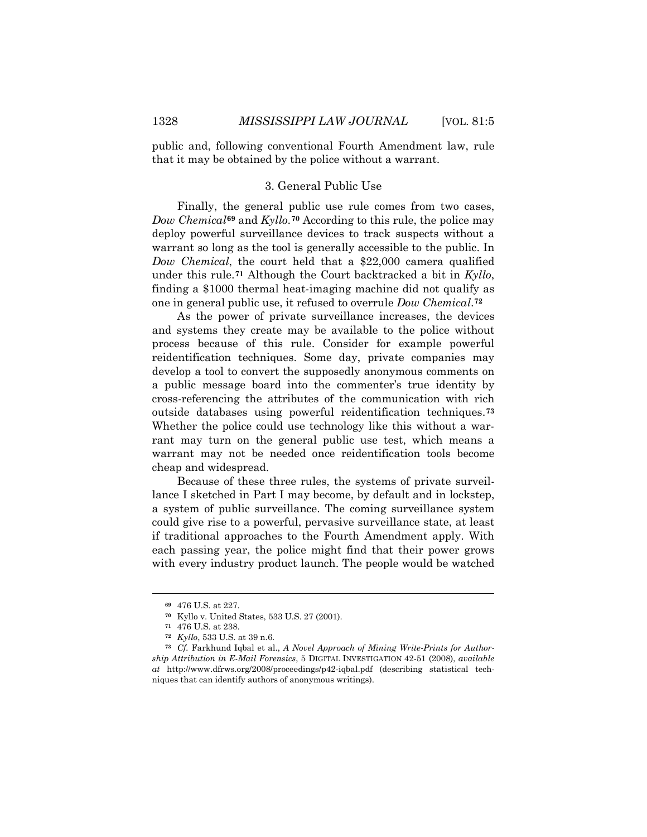public and, following conventional Fourth Amendment law, rule that it may be obtained by the police without a warrant.

## 3. General Public Use

Finally, the general public use rule comes from two cases, *Dow Chemical***[69](#page-19-0)** and *Kyllo*.**[70](#page-19-1)** According to this rule, the police may deploy powerful surveillance devices to track suspects without a warrant so long as the tool is generally accessible to the public. In *Dow Chemical*, the court held that a \$22,000 camera qualified under this rule.**[71](#page-19-2)** Although the Court backtracked a bit in *Kyllo*, finding a \$1000 thermal heat-imaging machine did not qualify as one in general public use, it refused to overrule *Dow Chemical*.**[72](#page-19-3)**

As the power of private surveillance increases, the devices and systems they create may be available to the police without process because of this rule. Consider for example powerful reidentification techniques. Some day, private companies may develop a tool to convert the supposedly anonymous comments on a public message board into the commenter's true identity by cross-referencing the attributes of the communication with rich outside databases using powerful reidentification techniques.**[73](#page-19-4)** Whether the police could use technology like this without a warrant may turn on the general public use test, which means a warrant may not be needed once reidentification tools become cheap and widespread.

Because of these three rules, the systems of private surveillance I sketched in Part I may become, by default and in lockstep, a system of public surveillance. The coming surveillance system could give rise to a powerful, pervasive surveillance state, at least if traditional approaches to the Fourth Amendment apply. With each passing year, the police might find that their power grows with every industry product launch. The people would be watched

**<sup>69</sup>** 476 U.S. at 227.

**<sup>70</sup>** Kyllo v. United States, 533 U.S. 27 (2001).

**<sup>71</sup>** 476 U.S. at 238.

**<sup>72</sup>** *Kyllo*, 533 U.S. at 39 n.6.

<span id="page-19-4"></span><span id="page-19-3"></span><span id="page-19-2"></span><span id="page-19-1"></span><span id="page-19-0"></span>**<sup>73</sup>** *Cf.* Farkhund Iqbal et al., *A Novel Approach of Mining Write-Prints for Authorship Attribution in E-Mail Forensics*, 5 DIGITAL INVESTIGATION 42-51 (2008), *available at* http://www.dfrws.org/2008/proceedings/p42-iqbal.pdf (describing statistical techniques that can identify authors of anonymous writings).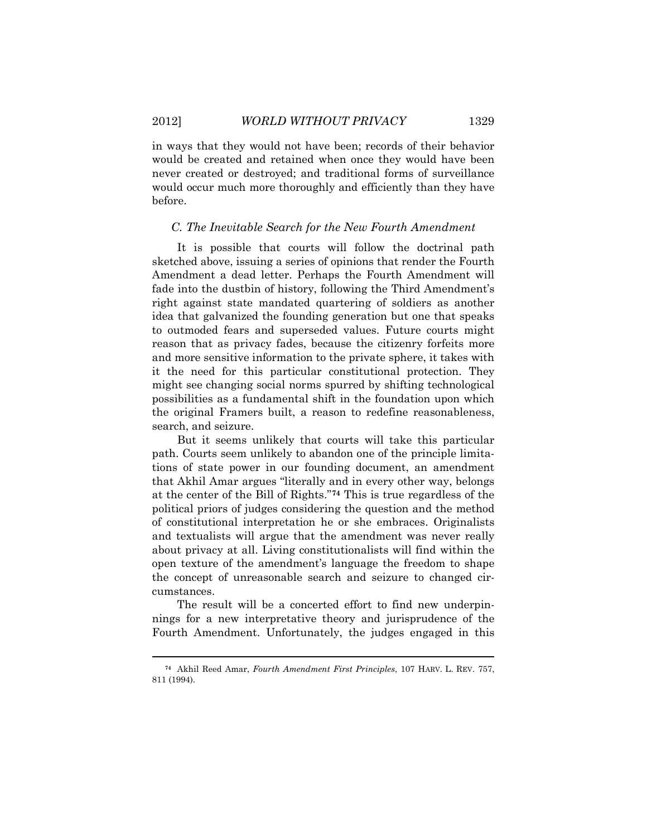$\overline{a}$ 

in ways that they would not have been; records of their behavior would be created and retained when once they would have been never created or destroyed; and traditional forms of surveillance would occur much more thoroughly and efficiently than they have before.

#### *C. The Inevitable Search for the New Fourth Amendment*

It is possible that courts will follow the doctrinal path sketched above, issuing a series of opinions that render the Fourth Amendment a dead letter. Perhaps the Fourth Amendment will fade into the dustbin of history, following the Third Amendment's right against state mandated quartering of soldiers as another idea that galvanized the founding generation but one that speaks to outmoded fears and superseded values. Future courts might reason that as privacy fades, because the citizenry forfeits more and more sensitive information to the private sphere, it takes with it the need for this particular constitutional protection. They might see changing social norms spurred by shifting technological possibilities as a fundamental shift in the foundation upon which the original Framers built, a reason to redefine reasonableness, search, and seizure.

But it seems unlikely that courts will take this particular path. Courts seem unlikely to abandon one of the principle limitations of state power in our founding document, an amendment that Akhil Amar argues "literally and in every other way, belongs at the center of the Bill of Rights."**[74](#page-20-0)** This is true regardless of the political priors of judges considering the question and the method of constitutional interpretation he or she embraces. Originalists and textualists will argue that the amendment was never really about privacy at all. Living constitutionalists will find within the open texture of the amendment's language the freedom to shape the concept of unreasonable search and seizure to changed circumstances.

The result will be a concerted effort to find new underpinnings for a new interpretative theory and jurisprudence of the Fourth Amendment. Unfortunately, the judges engaged in this

<span id="page-20-0"></span>**<sup>74</sup>** Akhil Reed Amar, *Fourth Amendment First Principles*, 107 HARV. L. REV. 757, 811 (1994).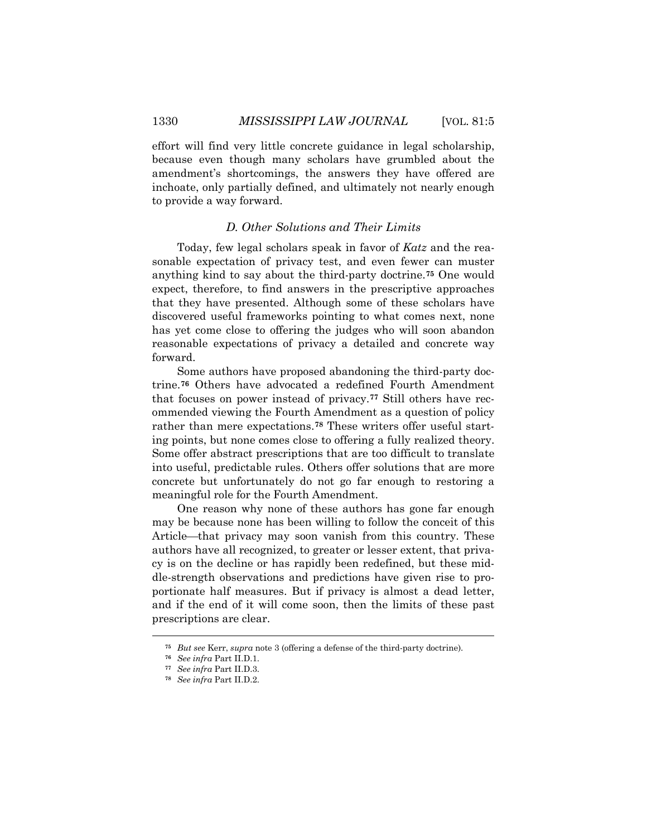effort will find very little concrete guidance in legal scholarship, because even though many scholars have grumbled about the amendment's shortcomings, the answers they have offered are inchoate, only partially defined, and ultimately not nearly enough to provide a way forward.

## *D. Other Solutions and Their Limits*

Today, few legal scholars speak in favor of *Katz* and the reasonable expectation of privacy test, and even fewer can muster anything kind to say about the third-party doctrine.**[75](#page-21-0)** One would expect, therefore, to find answers in the prescriptive approaches that they have presented. Although some of these scholars have discovered useful frameworks pointing to what comes next, none has yet come close to offering the judges who will soon abandon reasonable expectations of privacy a detailed and concrete way forward.

Some authors have proposed abandoning the third-party doctrine. **[76](#page-21-1)** Others have advocated a redefined Fourth Amendment that focuses on power instead of privacy.**[77](#page-21-2)** Still others have recommended viewing the Fourth Amendment as a question of policy rather than mere expectations.**[78](#page-21-3)** These writers offer useful starting points, but none comes close to offering a fully realized theory. Some offer abstract prescriptions that are too difficult to translate into useful, predictable rules. Others offer solutions that are more concrete but unfortunately do not go far enough to restoring a meaningful role for the Fourth Amendment.

One reason why none of these authors has gone far enough may be because none has been willing to follow the conceit of this Article—that privacy may soon vanish from this country. These authors have all recognized, to greater or lesser extent, that privacy is on the decline or has rapidly been redefined, but these middle-strength observations and predictions have given rise to proportionate half measures. But if privacy is almost a dead letter, and if the end of it will come soon, then the limits of these past prescriptions are clear.

<span id="page-21-0"></span>**<sup>75</sup>** *But see* Kerr, *supra* note 3 (offering a defense of the third-party doctrine).

**<sup>76</sup>** *See infra* Part II.D.1.

<span id="page-21-2"></span><span id="page-21-1"></span>**<sup>77</sup>** *See infra* Part II.D.3.

<span id="page-21-3"></span>**<sup>78</sup>** *See infra* Part II.D.2.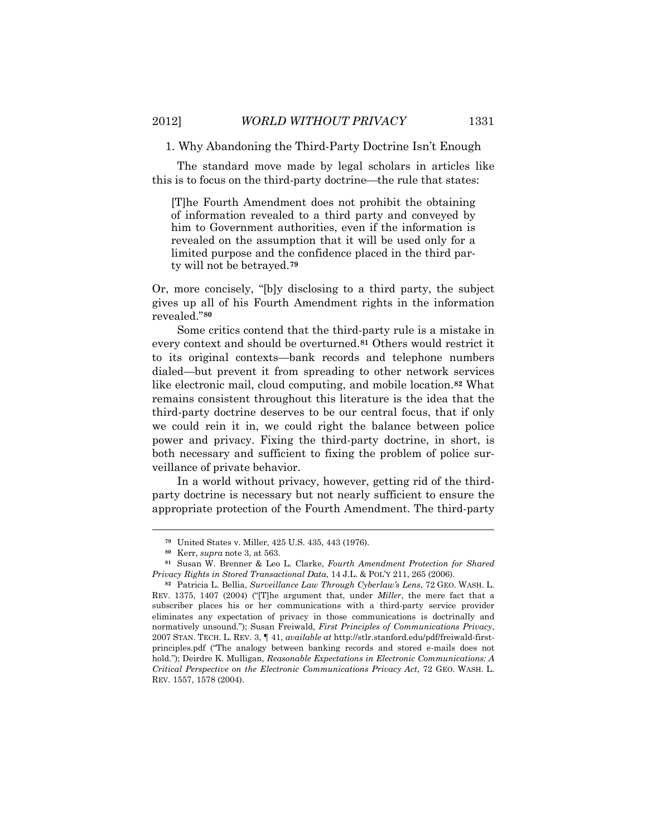The standard move made by legal scholars in articles like this is to focus on the third-party doctrine—the rule that states:

[T]he Fourth Amendment does not prohibit the obtaining of information revealed to a third party and conveyed by him to Government authorities, even if the information is revealed on the assumption that it will be used only for a limited purpose and the confidence placed in the third party will not be betrayed.**[79](#page-22-0)**

Or, more concisely, "[b]y disclosing to a third party, the subject gives up all of his Fourth Amendment rights in the information revealed."**[80](#page-22-1)**

Some critics contend that the third-party rule is a mistake in every context and should be overturned.**[81](#page-22-2)** Others would restrict it to its original contexts—bank records and telephone numbers dialed—but prevent it from spreading to other network services like electronic mail, cloud computing, and mobile location.**[82](#page-22-3)** What remains consistent throughout this literature is the idea that the third-party doctrine deserves to be our central focus, that if only we could rein it in, we could right the balance between police power and privacy. Fixing the third-party doctrine, in short, is both necessary and sufficient to fixing the problem of police surveillance of private behavior.

In a world without privacy, however, getting rid of the thirdparty doctrine is necessary but not nearly sufficient to ensure the appropriate protection of the Fourth Amendment. The third-party

**<sup>79</sup>** United States v. Miller, 425 U.S. 435, 443 (1976).

**<sup>80</sup>** Kerr, *supra* note 3, at 563.

<span id="page-22-2"></span><span id="page-22-1"></span><span id="page-22-0"></span>**<sup>81</sup>** Susan W. Brenner & Leo L. Clarke, *Fourth Amendment Protection for Shared Privacy Rights in Stored Transactional Data*, 14 J.L. & POL'Y 211, 265 (2006).

<span id="page-22-3"></span>**<sup>82</sup>** Patricia L. Bellia, *Surveillance Law Through Cyberlaw's Lens*, 72 GEO. WASH. L. REV. 1375, 1407 (2004) ("[T]he argument that, under *Miller*, the mere fact that a subscriber places his or her communications with a third-party service provider eliminates any expectation of privacy in those communications is doctrinally and normatively unsound."); Susan Freiwald, *First Principles of Communications Privacy*, 2007 STAN. TECH. L. REV. 3, ¶ 41, *available at* http://stlr.stanford.edu/pdf/freiwald-firstprinciples.pdf ("The analogy between banking records and stored e-mails does not hold."); Deirdre K. Mulligan, *Reasonable Expectations in Electronic Communications: A Critical Perspective on the Electronic Communications Privacy Act*, 72 GEO. WASH. L. REV. 1557, 1578 (2004).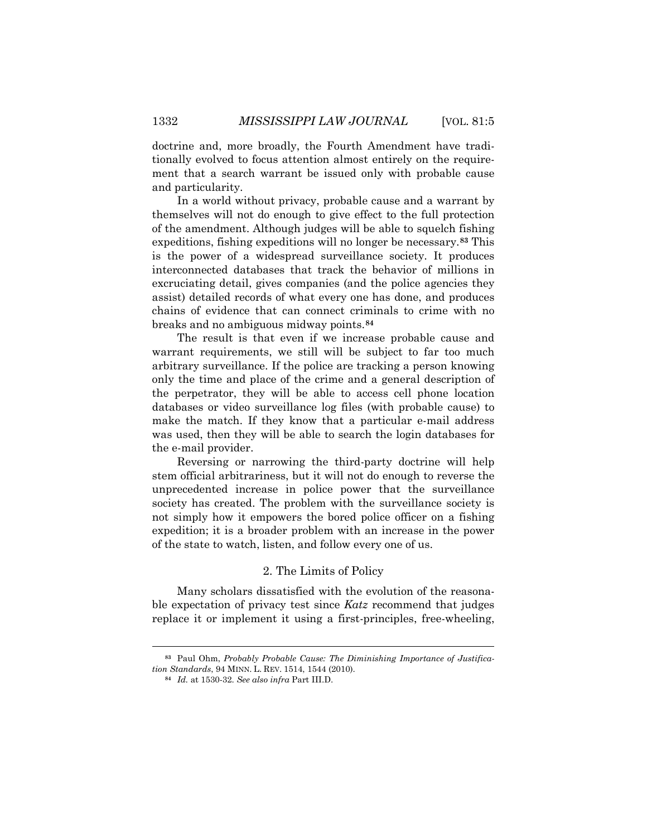doctrine and, more broadly, the Fourth Amendment have traditionally evolved to focus attention almost entirely on the requirement that a search warrant be issued only with probable cause and particularity.

In a world without privacy, probable cause and a warrant by themselves will not do enough to give effect to the full protection of the amendment. Although judges will be able to squelch fishing expeditions, fishing expeditions will no longer be necessary.**[83](#page-23-0)** This is the power of a widespread surveillance society. It produces interconnected databases that track the behavior of millions in excruciating detail, gives companies (and the police agencies they assist) detailed records of what every one has done, and produces chains of evidence that can connect criminals to crime with no breaks and no ambiguous midway points.**[84](#page-23-1)**

The result is that even if we increase probable cause and warrant requirements, we still will be subject to far too much arbitrary surveillance. If the police are tracking a person knowing only the time and place of the crime and a general description of the perpetrator, they will be able to access cell phone location databases or video surveillance log files (with probable cause) to make the match. If they know that a particular e-mail address was used, then they will be able to search the login databases for the e-mail provider.

Reversing or narrowing the third-party doctrine will help stem official arbitrariness, but it will not do enough to reverse the unprecedented increase in police power that the surveillance society has created. The problem with the surveillance society is not simply how it empowers the bored police officer on a fishing expedition; it is a broader problem with an increase in the power of the state to watch, listen, and follow every one of us.

#### 2. The Limits of Policy

Many scholars dissatisfied with the evolution of the reasonable expectation of privacy test since *Katz* recommend that judges replace it or implement it using a first-principles, free-wheeling,

<span id="page-23-1"></span><span id="page-23-0"></span>**<sup>83</sup>** Paul Ohm, *Probably Probable Cause: The Diminishing Importance of Justification Standards*, 94 MINN. L. REV. 1514, 1544 (2010).

**<sup>84</sup>** *Id.* at 1530-32. *See also infra* Part III.D.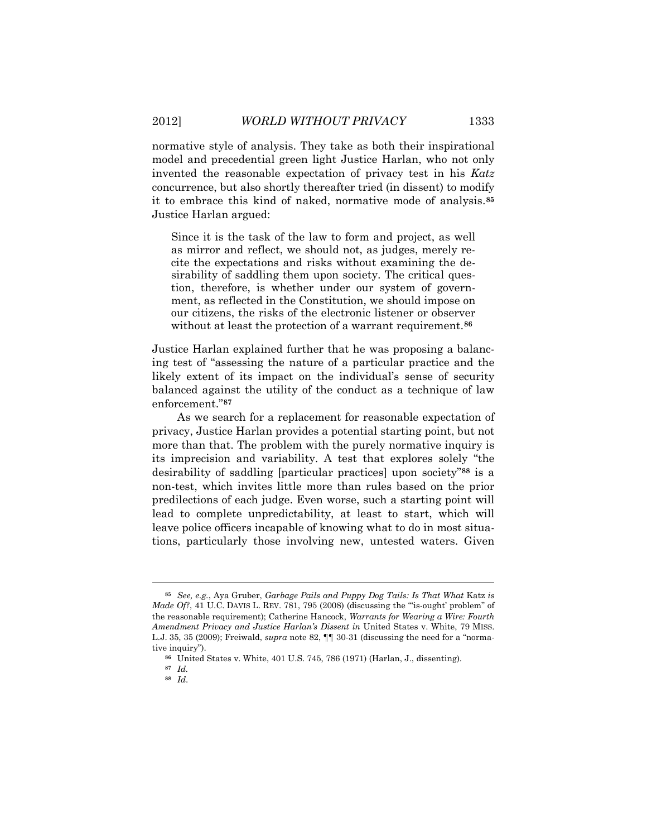normative style of analysis. They take as both their inspirational model and precedential green light Justice Harlan, who not only invented the reasonable expectation of privacy test in his *Katz* concurrence, but also shortly thereafter tried (in dissent) to modify it to embrace this kind of naked, normative mode of analysis.**[85](#page-24-0)** Justice Harlan argued:

Since it is the task of the law to form and project, as well as mirror and reflect, we should not, as judges, merely recite the expectations and risks without examining the desirability of saddling them upon society. The critical question, therefore, is whether under our system of government, as reflected in the Constitution, we should impose on our citizens, the risks of the electronic listener or observer without at least the protection of a warrant requirement. **[86](#page-24-1)**

Justice Harlan explained further that he was proposing a balancing test of "assessing the nature of a particular practice and the likely extent of its impact on the individual's sense of security balanced against the utility of the conduct as a technique of law enforcement."**[87](#page-24-2)**

As we search for a replacement for reasonable expectation of privacy, Justice Harlan provides a potential starting point, but not more than that. The problem with the purely normative inquiry is its imprecision and variability. A test that explores solely "the desirability of saddling [particular practices] upon society"**[88](#page-24-3)** is a non-test, which invites little more than rules based on the prior predilections of each judge. Even worse, such a starting point will lead to complete unpredictability, at least to start, which will leave police officers incapable of knowing what to do in most situations, particularly those involving new, untested waters. Given

<span id="page-24-1"></span><span id="page-24-0"></span>**<sup>85</sup>** *See, e.g.*, Aya Gruber, *Garbage Pails and Puppy Dog Tails: Is That What* Katz *is Made Of?*, 41 U.C. DAVIS L. REV. 781, 795 (2008) (discussing the "is-ought' problem" of the reasonable requirement); Catherine Hancock, *Warrants for Wearing a Wire: Fourth Amendment Privacy and Justice Harlan's Dissent in* United States v. White, 79 MISS. L.J. 35, 35 (2009); Freiwald, *supra* note 82, ¶¶ 30-31 (discussing the need for a "normative inquiry").

**<sup>86</sup>** United States v. White, 401 U.S. 745, 786 (1971) (Harlan, J., dissenting).

<span id="page-24-3"></span><span id="page-24-2"></span>**<sup>87</sup>** *Id.*

**<sup>88</sup>** *Id*.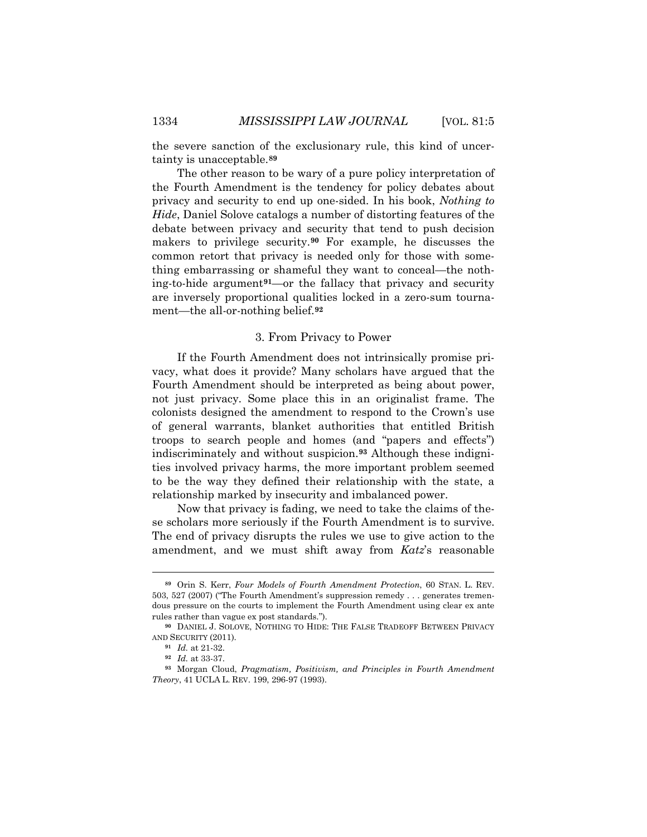the severe sanction of the exclusionary rule, this kind of uncertainty is unacceptable.**[89](#page-25-0)**

The other reason to be wary of a pure policy interpretation of the Fourth Amendment is the tendency for policy debates about privacy and security to end up one-sided. In his book, *Nothing to Hide*, Daniel Solove catalogs a number of distorting features of the debate between privacy and security that tend to push decision makers to privilege security.**[90](#page-25-1)** For example, he discusses the common retort that privacy is needed only for those with something embarrassing or shameful they want to conceal—the nothing-to-hide argument**[91](#page-25-2)**—or the fallacy that privacy and security are inversely proportional qualities locked in a zero-sum tournament—the all-or-nothing belief.**[92](#page-25-3)**

#### 3. From Privacy to Power

If the Fourth Amendment does not intrinsically promise privacy, what does it provide? Many scholars have argued that the Fourth Amendment should be interpreted as being about power, not just privacy. Some place this in an originalist frame. The colonists designed the amendment to respond to the Crown's use of general warrants, blanket authorities that entitled British troops to search people and homes (and "papers and effects") indiscriminately and without suspicion.**[93](#page-25-4)** Although these indignities involved privacy harms, the more important problem seemed to be the way they defined their relationship with the state, a relationship marked by insecurity and imbalanced power.

Now that privacy is fading, we need to take the claims of these scholars more seriously if the Fourth Amendment is to survive. The end of privacy disrupts the rules we use to give action to the amendment, and we must shift away from *Katz*'s reasonable

<span id="page-25-0"></span>**<sup>89</sup>** Orin S. Kerr, *Four Models of Fourth Amendment Protection*, 60 STAN. L. REV. 503, 527 (2007) ("The Fourth Amendment's suppression remedy . . . generates tremendous pressure on the courts to implement the Fourth Amendment using clear ex ante rules rather than vague ex post standards.").

<span id="page-25-2"></span><span id="page-25-1"></span>**<sup>90</sup>** DANIEL J. SOLOVE, NOTHING TO HIDE: THE FALSE TRADEOFF BETWEEN PRIVACY AND SECURITY (2011).

**<sup>91</sup>** *Id.* at 21-32.

**<sup>92</sup>** *Id.* at 33-37.

<span id="page-25-4"></span><span id="page-25-3"></span>**<sup>93</sup>** Morgan Cloud, *Pragmatism, Positivism, and Principles in Fourth Amendment Theory*, 41 UCLA L. REV. 199, 296-97 (1993).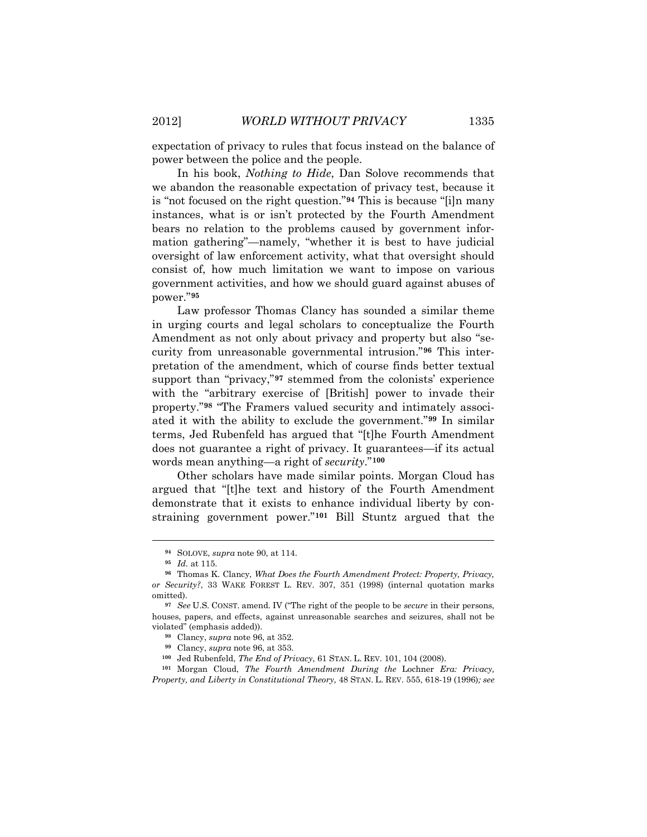expectation of privacy to rules that focus instead on the balance of power between the police and the people.

In his book, *Nothing to Hide*, Dan Solove recommends that we abandon the reasonable expectation of privacy test, because it is "not focused on the right question."**[94](#page-26-0)** This is because "[i]n many instances, what is or isn't protected by the Fourth Amendment bears no relation to the problems caused by government information gathering"—namely, "whether it is best to have judicial oversight of law enforcement activity, what that oversight should consist of, how much limitation we want to impose on various government activities, and how we should guard against abuses of power."**[95](#page-26-1)**

Law professor Thomas Clancy has sounded a similar theme in urging courts and legal scholars to conceptualize the Fourth Amendment as not only about privacy and property but also "security from unreasonable governmental intrusion."**[96](#page-26-2)** This interpretation of the amendment, which of course finds better textual support than "privacy,"**[97](#page-26-3)** stemmed from the colonists' experience with the "arbitrary exercise of [British] power to invade their property."**[98](#page-26-4)** "The Framers valued security and intimately associated it with the ability to exclude the government."**[99](#page-26-5)** In similar terms, Jed Rubenfeld has argued that "[t]he Fourth Amendment does not guarantee a right of privacy. It guarantees—if its actual words mean anything—a right of *security*."**[100](#page-26-6)**

Other scholars have made similar points. Morgan Cloud has argued that "[t]he text and history of the Fourth Amendment demonstrate that it exists to enhance individual liberty by constraining government power."**[101](#page-26-7)** Bill Stuntz argued that the

**<sup>94</sup>** SOLOVE, *supra* note 90, at 114.

**<sup>95</sup>** *Id.* at 115.

<span id="page-26-2"></span><span id="page-26-1"></span><span id="page-26-0"></span>**<sup>96</sup>** Thomas K. Clancy, *What Does the Fourth Amendment Protect: Property, Privacy, or Security?*, 33 WAKE FOREST L. REV. 307, 351 (1998) (internal quotation marks omitted).

<span id="page-26-4"></span><span id="page-26-3"></span>**<sup>97</sup>** *See* U.S. CONST. amend. IV ("The right of the people to be *secure* in their persons, houses, papers, and effects, against unreasonable searches and seizures, shall not be violated" (emphasis added)).

**<sup>98</sup>** Clancy, *supra* note 96, at 352.

**<sup>99</sup>** Clancy, *supra* note 96, at 353.

**<sup>100</sup>** Jed Rubenfeld, *The End of Privacy*, 61 STAN. L. REV. 101, 104 (2008).

<span id="page-26-7"></span><span id="page-26-6"></span><span id="page-26-5"></span>**<sup>101</sup>** Morgan Cloud, *The Fourth Amendment During the* Lochner *Era: Privacy, Property, and Liberty in Constitutional Theory*, 48 STAN. L. REV. 555, 618-19 (1996)*; see*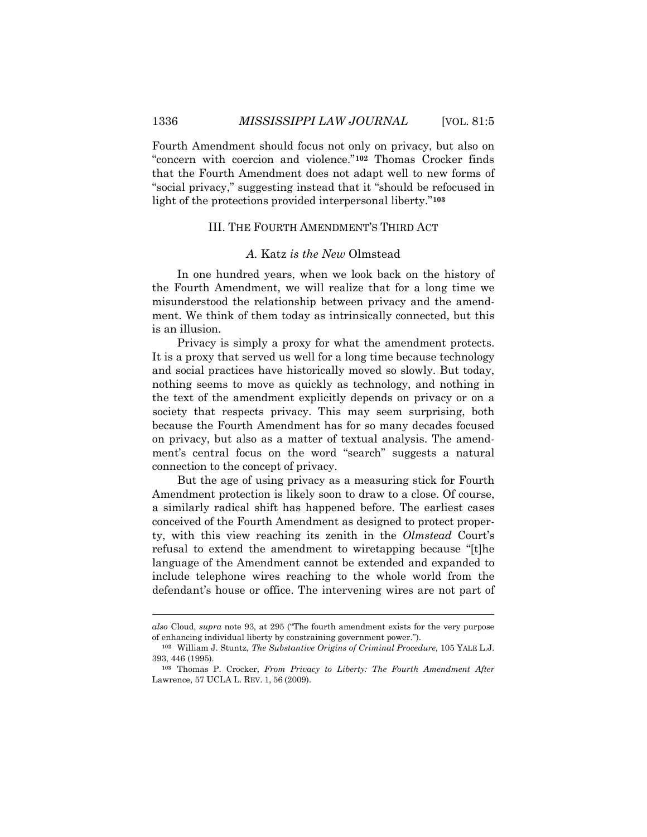Fourth Amendment should focus not only on privacy, but also on "concern with coercion and violence."**[102](#page-27-0)** Thomas Crocker finds that the Fourth Amendment does not adapt well to new forms of "social privacy," suggesting instead that it "should be refocused in light of the protections provided interpersonal liberty."**[103](#page-27-1)**

## III. THE FOURTH AMENDMENT'S THIRD ACT

#### *A.* Katz *is the New* Olmstead

In one hundred years, when we look back on the history of the Fourth Amendment, we will realize that for a long time we misunderstood the relationship between privacy and the amendment. We think of them today as intrinsically connected, but this is an illusion.

Privacy is simply a proxy for what the amendment protects. It is a proxy that served us well for a long time because technology and social practices have historically moved so slowly. But today, nothing seems to move as quickly as technology, and nothing in the text of the amendment explicitly depends on privacy or on a society that respects privacy. This may seem surprising, both because the Fourth Amendment has for so many decades focused on privacy, but also as a matter of textual analysis. The amendment's central focus on the word "search" suggests a natural connection to the concept of privacy.

But the age of using privacy as a measuring stick for Fourth Amendment protection is likely soon to draw to a close. Of course, a similarly radical shift has happened before. The earliest cases conceived of the Fourth Amendment as designed to protect property, with this view reaching its zenith in the *Olmstead* Court's refusal to extend the amendment to wiretapping because "[t]he language of the Amendment cannot be extended and expanded to include telephone wires reaching to the whole world from the defendant's house or office. The intervening wires are not part of

*also* Cloud, *supra* note 93, at 295 ("The fourth amendment exists for the very purpose of enhancing individual liberty by constraining government power.").

<span id="page-27-0"></span>**<sup>102</sup>** William J. Stuntz, *The Substantive Origins of Criminal Procedure*, 105 YALE L.J. 393, 446 (1995).

<span id="page-27-1"></span>**<sup>103</sup>** Thomas P. Crocker, *From Privacy to Liberty: The Fourth Amendment After*  Lawrence, 57 UCLA L. REV. 1, 56 (2009).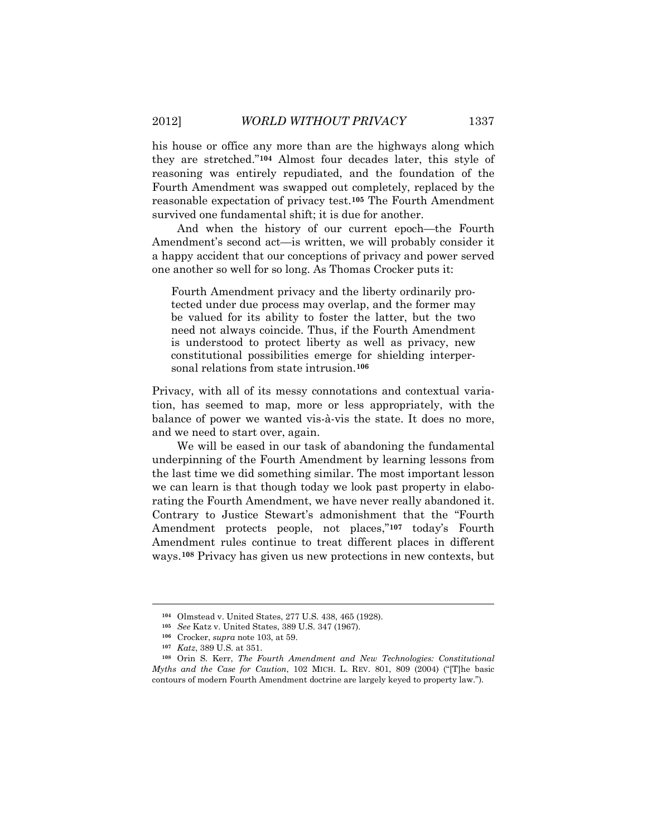his house or office any more than are the highways along which they are stretched."**[104](#page-28-0)** Almost four decades later, this style of reasoning was entirely repudiated, and the foundation of the Fourth Amendment was swapped out completely, replaced by the reasonable expectation of privacy test.**[105](#page-28-1)** The Fourth Amendment survived one fundamental shift; it is due for another.

And when the history of our current epoch—the Fourth Amendment's second act—is written, we will probably consider it a happy accident that our conceptions of privacy and power served one another so well for so long. As Thomas Crocker puts it:

Fourth Amendment privacy and the liberty ordinarily protected under due process may overlap, and the former may be valued for its ability to foster the latter, but the two need not always coincide. Thus, if the Fourth Amendment is understood to protect liberty as well as privacy, new constitutional possibilities emerge for shielding interpersonal relations from state intrusion.**[106](#page-28-2)**

Privacy, with all of its messy connotations and contextual variation, has seemed to map, more or less appropriately, with the balance of power we wanted vis-à-vis the state. It does no more, and we need to start over, again.

We will be eased in our task of abandoning the fundamental underpinning of the Fourth Amendment by learning lessons from the last time we did something similar. The most important lesson we can learn is that though today we look past property in elaborating the Fourth Amendment, we have never really abandoned it. Contrary to Justice Stewart's admonishment that the "Fourth Amendment protects people, not places,"**[107](#page-28-3)** today's Fourth Amendment rules continue to treat different places in different ways.**[108](#page-28-4)** Privacy has given us new protections in new contexts, but

**<sup>104</sup>** Olmstead v. United States, 277 U.S. 438, 465 (1928).

**<sup>105</sup>** *See* Katz v. United States, 389 U.S. 347 (1967).

**<sup>106</sup>** Crocker, *supra* note 103, at 59.

**<sup>107</sup>** *Katz*, 389 U.S. at 351.

<span id="page-28-4"></span><span id="page-28-3"></span><span id="page-28-2"></span><span id="page-28-1"></span><span id="page-28-0"></span>**<sup>108</sup>** Orin S. Kerr, *The Fourth Amendment and New Technologies: Constitutional Myths and the Case for Caution*, 102 MICH. L. REV. 801, 809 (2004) ("[T]he basic contours of modern Fourth Amendment doctrine are largely keyed to property law.").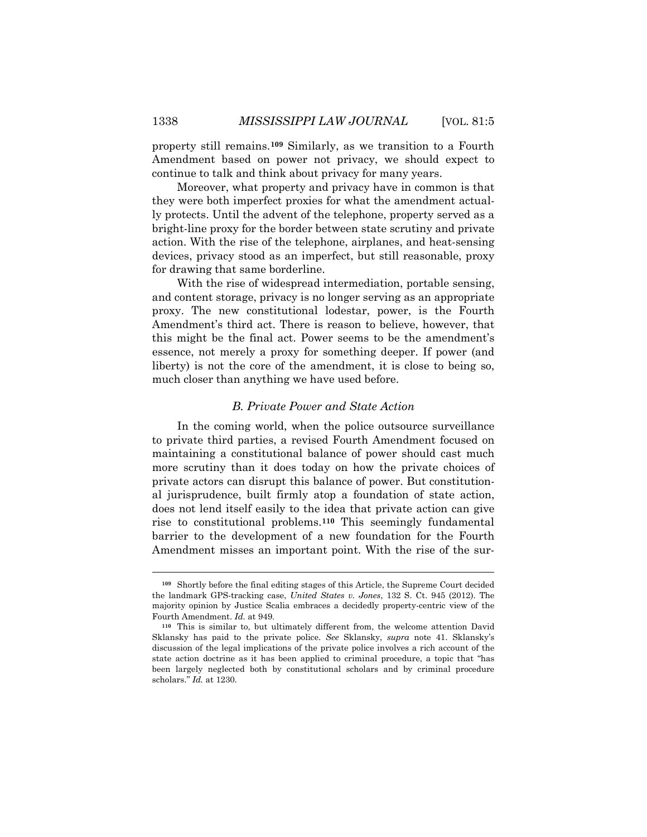property still remains.**[109](#page-29-0)** Similarly, as we transition to a Fourth Amendment based on power not privacy, we should expect to continue to talk and think about privacy for many years.

Moreover, what property and privacy have in common is that they were both imperfect proxies for what the amendment actually protects. Until the advent of the telephone, property served as a bright-line proxy for the border between state scrutiny and private action. With the rise of the telephone, airplanes, and heat-sensing devices, privacy stood as an imperfect, but still reasonable, proxy for drawing that same borderline.

With the rise of widespread intermediation, portable sensing, and content storage, privacy is no longer serving as an appropriate proxy. The new constitutional lodestar, power, is the Fourth Amendment's third act. There is reason to believe, however, that this might be the final act. Power seems to be the amendment's essence, not merely a proxy for something deeper. If power (and liberty) is not the core of the amendment, it is close to being so, much closer than anything we have used before.

## *B. Private Power and State Action*

In the coming world, when the police outsource surveillance to private third parties, a revised Fourth Amendment focused on maintaining a constitutional balance of power should cast much more scrutiny than it does today on how the private choices of private actors can disrupt this balance of power. But constitutional jurisprudence, built firmly atop a foundation of state action, does not lend itself easily to the idea that private action can give rise to constitutional problems.**[110](#page-29-1)** This seemingly fundamental barrier to the development of a new foundation for the Fourth Amendment misses an important point. With the rise of the sur-

<span id="page-29-0"></span>**<sup>109</sup>** Shortly before the final editing stages of this Article, the Supreme Court decided the landmark GPS-tracking case, *United States v. Jones*, 132 S. Ct. 945 (2012). The majority opinion by Justice Scalia embraces a decidedly property-centric view of the Fourth Amendment. *Id.* at 949.

<span id="page-29-1"></span>**<sup>110</sup>** This is similar to, but ultimately different from, the welcome attention David Sklansky has paid to the private police. *See* Sklansky, *supra* note 41. Sklansky's discussion of the legal implications of the private police involves a rich account of the state action doctrine as it has been applied to criminal procedure, a topic that "has been largely neglected both by constitutional scholars and by criminal procedure scholars." *Id.* at 1230.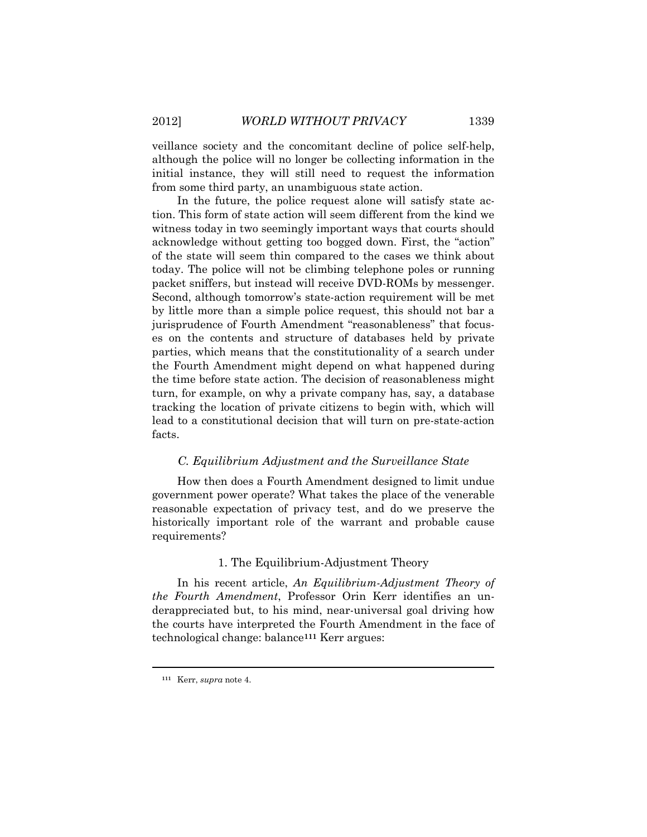veillance society and the concomitant decline of police self-help, although the police will no longer be collecting information in the initial instance, they will still need to request the information from some third party, an unambiguous state action.

In the future, the police request alone will satisfy state action. This form of state action will seem different from the kind we witness today in two seemingly important ways that courts should acknowledge without getting too bogged down. First, the "action" of the state will seem thin compared to the cases we think about today. The police will not be climbing telephone poles or running packet sniffers, but instead will receive DVD-ROMs by messenger. Second, although tomorrow's state-action requirement will be met by little more than a simple police request, this should not bar a jurisprudence of Fourth Amendment "reasonableness" that focuses on the contents and structure of databases held by private parties, which means that the constitutionality of a search under the Fourth Amendment might depend on what happened during the time before state action. The decision of reasonableness might turn, for example, on why a private company has, say, a database tracking the location of private citizens to begin with, which will lead to a constitutional decision that will turn on pre-state-action facts.

## *C. Equilibrium Adjustment and the Surveillance State*

How then does a Fourth Amendment designed to limit undue government power operate? What takes the place of the venerable reasonable expectation of privacy test, and do we preserve the historically important role of the warrant and probable cause requirements?

## 1. The Equilibrium-Adjustment Theory

In his recent article, *An Equilibrium-Adjustment Theory of the Fourth Amendment*, Professor Orin Kerr identifies an underappreciated but, to his mind, near-universal goal driving how the courts have interpreted the Fourth Amendment in the face of technological change: balance**[111](#page-30-0)** Kerr argues:

<span id="page-30-0"></span>**<sup>111</sup>** Kerr, *supra* note 4.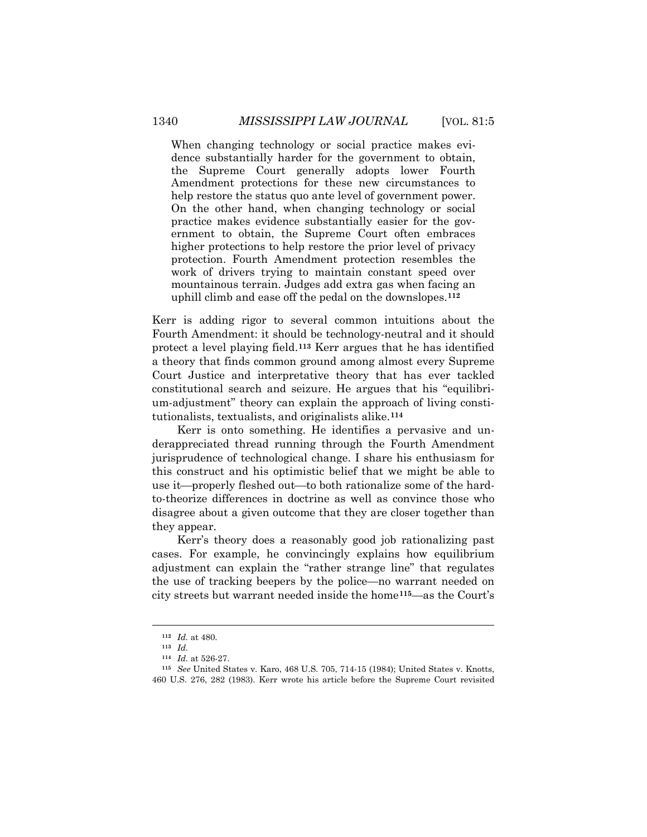When changing technology or social practice makes evidence substantially harder for the government to obtain, the Supreme Court generally adopts lower Fourth Amendment protections for these new circumstances to help restore the status quo ante level of government power. On the other hand, when changing technology or social practice makes evidence substantially easier for the government to obtain, the Supreme Court often embraces higher protections to help restore the prior level of privacy protection. Fourth Amendment protection resembles the work of drivers trying to maintain constant speed over mountainous terrain. Judges add extra gas when facing an uphill climb and ease off the pedal on the downslopes.**[112](#page-31-0)**

Kerr is adding rigor to several common intuitions about the Fourth Amendment: it should be technology-neutral and it should protect a level playing field.**[113](#page-31-1)** Kerr argues that he has identified a theory that finds common ground among almost every Supreme Court Justice and interpretative theory that has ever tackled constitutional search and seizure. He argues that his "equilibrium-adjustment" theory can explain the approach of living constitutionalists, textualists, and originalists alike.**[114](#page-31-2)**

Kerr is onto something. He identifies a pervasive and underappreciated thread running through the Fourth Amendment jurisprudence of technological change. I share his enthusiasm for this construct and his optimistic belief that we might be able to use it—properly fleshed out—to both rationalize some of the hardto-theorize differences in doctrine as well as convince those who disagree about a given outcome that they are closer together than they appear.

Kerr's theory does a reasonably good job rationalizing past cases. For example, he convincingly explains how equilibrium adjustment can explain the "rather strange line" that regulates the use of tracking beepers by the police—no warrant needed on city streets but warrant needed inside the home**[115](#page-31-3)** —as the Court's

**<sup>112</sup>** *Id.* at 480.

**<sup>113</sup>** *Id.*

**<sup>114</sup>** *Id.* at 526-27.

<span id="page-31-3"></span><span id="page-31-2"></span><span id="page-31-1"></span><span id="page-31-0"></span>**<sup>115</sup>** *See* United States v. Karo, 468 U.S. 705, 714-15 (1984); United States v. Knotts, 460 U.S. 276, 282 (1983). Kerr wrote his article before the Supreme Court revisited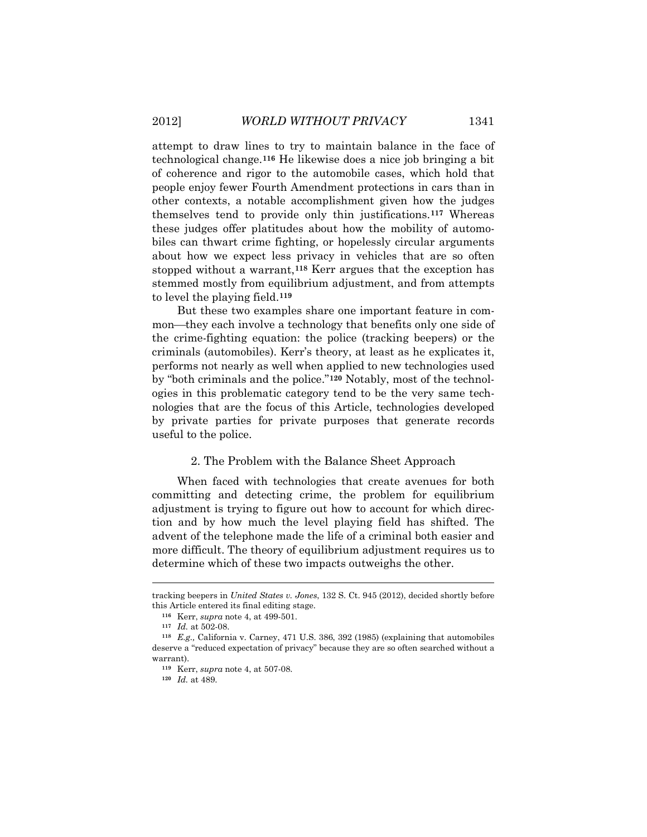attempt to draw lines to try to maintain balance in the face of technological change.**[116](#page-32-0)** He likewise does a nice job bringing a bit of coherence and rigor to the automobile cases, which hold that people enjoy fewer Fourth Amendment protections in cars than in other contexts, a notable accomplishment given how the judges themselves tend to provide only thin justifications.**[117](#page-32-1)** Whereas these judges offer platitudes about how the mobility of automobiles can thwart crime fighting, or hopelessly circular arguments about how we expect less privacy in vehicles that are so often stopped without a warrant,**[118](#page-32-2)** Kerr argues that the exception has stemmed mostly from equilibrium adjustment, and from attempts to level the playing field.**[119](#page-32-3)**

But these two examples share one important feature in common—they each involve a technology that benefits only one side of the crime-fighting equation: the police (tracking beepers) or the criminals (automobiles). Kerr's theory, at least as he explicates it, performs not nearly as well when applied to new technologies used by "both criminals and the police."**[120](#page-32-4)** Notably, most of the technologies in this problematic category tend to be the very same technologies that are the focus of this Article, technologies developed by private parties for private purposes that generate records useful to the police.

#### 2. The Problem with the Balance Sheet Approach

When faced with technologies that create avenues for both committing and detecting crime, the problem for equilibrium adjustment is trying to figure out how to account for which direction and by how much the level playing field has shifted. The advent of the telephone made the life of a criminal both easier and more difficult. The theory of equilibrium adjustment requires us to determine which of these two impacts outweighs the other.

<span id="page-32-0"></span>tracking beepers in *United States v. Jones*, 132 S. Ct. 945 (2012), decided shortly before this Article entered its final editing stage.

**<sup>116</sup>** Kerr, *supra* note 4, at 499-501.

**<sup>117</sup>** *Id.* at 502-08.

<span id="page-32-4"></span><span id="page-32-3"></span><span id="page-32-2"></span><span id="page-32-1"></span>**<sup>118</sup>** *E.g.,* California v. Carney, 471 U.S. 386, 392 (1985) (explaining that automobiles deserve a "reduced expectation of privacy" because they are so often searched without a warrant).

**<sup>119</sup>** Kerr, *supra* note 4, at 507-08.

**<sup>120</sup>** *Id.* at 489.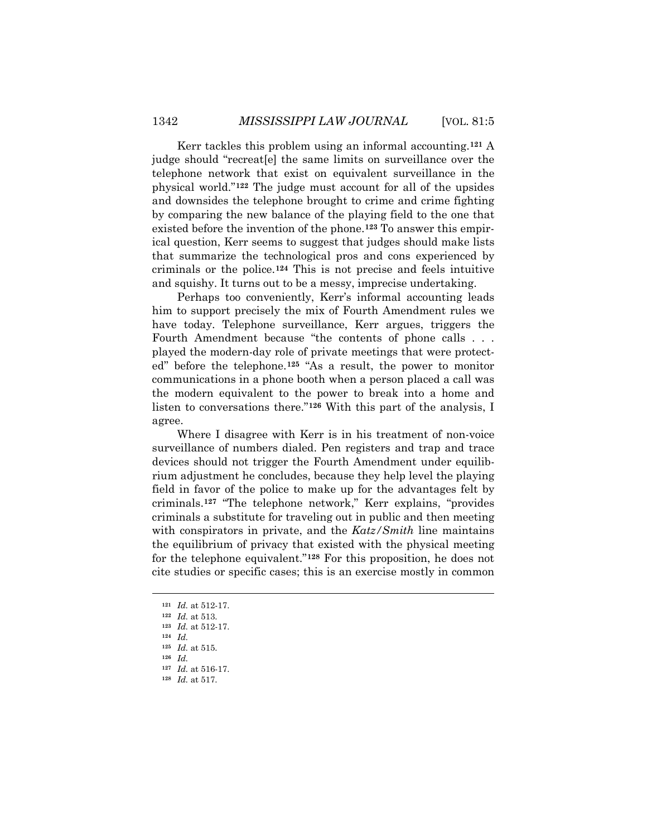Kerr tackles this problem using an informal accounting.**[121](#page-33-0)** A judge should "recreat[e] the same limits on surveillance over the telephone network that exist on equivalent surveillance in the physical world."**[122](#page-33-1)** The judge must account for all of the upsides and downsides the telephone brought to crime and crime fighting by comparing the new balance of the playing field to the one that existed before the invention of the phone.**[123](#page-33-2)** To answer this empirical question, Kerr seems to suggest that judges should make lists that summarize the technological pros and cons experienced by criminals or the police.**[124](#page-33-3)** This is not precise and feels intuitive and squishy. It turns out to be a messy, imprecise undertaking.

Perhaps too conveniently, Kerr's informal accounting leads him to support precisely the mix of Fourth Amendment rules we have today. Telephone surveillance, Kerr argues, triggers the Fourth Amendment because "the contents of phone calls . . . played the modern-day role of private meetings that were protected" before the telephone. **[125](#page-33-4)** "As a result, the power to monitor communications in a phone booth when a person placed a call was the modern equivalent to the power to break into a home and listen to conversations there."**[126](#page-33-5)** With this part of the analysis, I agree.

Where I disagree with Kerr is in his treatment of non-voice surveillance of numbers dialed. Pen registers and trap and trace devices should not trigger the Fourth Amendment under equilibrium adjustment he concludes, because they help level the playing field in favor of the police to make up for the advantages felt by criminals. **[127](#page-33-6)** "The telephone network," Kerr explains, "provides criminals a substitute for traveling out in public and then meeting with conspirators in private, and the *Katz/Smith* line maintains the equilibrium of privacy that existed with the physical meeting for the telephone equivalent."**[128](#page-33-7)** For this proposition, he does not cite studies or specific cases; this is an exercise mostly in common

**<sup>121</sup>** *Id.* at 512-17.

<span id="page-33-2"></span><span id="page-33-1"></span><span id="page-33-0"></span>**<sup>122</sup>** *Id.* at 513.

**<sup>123</sup>** *Id.* at 512-17.

**<sup>124</sup>** *Id.*

<span id="page-33-5"></span><span id="page-33-4"></span><span id="page-33-3"></span>**<sup>125</sup>** *Id.* at 515.

**<sup>126</sup>** *Id.*

<span id="page-33-7"></span><span id="page-33-6"></span>**<sup>127</sup>** *Id.* at 516-17. **<sup>128</sup>** *Id.* at 517.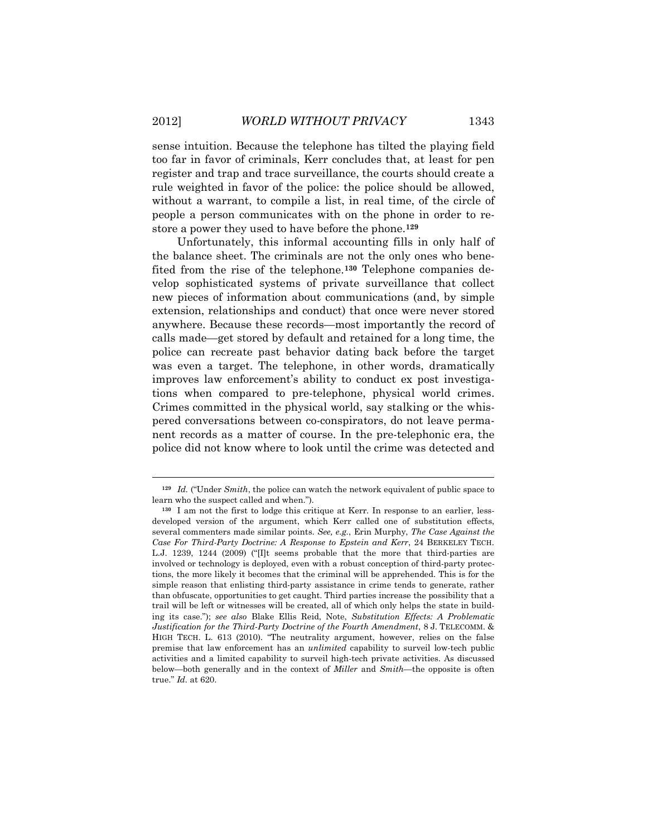sense intuition. Because the telephone has tilted the playing field too far in favor of criminals, Kerr concludes that, at least for pen register and trap and trace surveillance, the courts should create a rule weighted in favor of the police: the police should be allowed, without a warrant, to compile a list, in real time, of the circle of people a person communicates with on the phone in order to restore a power they used to have before the phone.**[129](#page-34-0)**

Unfortunately, this informal accounting fills in only half of the balance sheet. The criminals are not the only ones who benefited from the rise of the telephone.**[130](#page-34-1)** Telephone companies develop sophisticated systems of private surveillance that collect new pieces of information about communications (and, by simple extension, relationships and conduct) that once were never stored anywhere. Because these records—most importantly the record of calls made—get stored by default and retained for a long time, the police can recreate past behavior dating back before the target was even a target. The telephone, in other words, dramatically improves law enforcement's ability to conduct ex post investigations when compared to pre-telephone, physical world crimes. Crimes committed in the physical world, say stalking or the whispered conversations between co-conspirators, do not leave permanent records as a matter of course. In the pre-telephonic era, the police did not know where to look until the crime was detected and

<span id="page-34-0"></span>**<sup>129</sup>** *Id.* ("Under *Smith*, the police can watch the network equivalent of public space to learn who the suspect called and when.").

<span id="page-34-1"></span>**<sup>130</sup>** I am not the first to lodge this critique at Kerr. In response to an earlier, lessdeveloped version of the argument, which Kerr called one of substitution effects, several commenters made similar points. *See, e.g.*, Erin Murphy, *The Case Against the Case For Third-Party Doctrine: A Response to Epstein and Kerr*, 24 BERKELEY TECH. L.J. 1239, 1244 (2009) ("[I]t seems probable that the more that third-parties are involved or technology is deployed, even with a robust conception of third-party protections, the more likely it becomes that the criminal will be apprehended. This is for the simple reason that enlisting third-party assistance in crime tends to generate, rather than obfuscate, opportunities to get caught. Third parties increase the possibility that a trail will be left or witnesses will be created, all of which only helps the state in building its case."); *see also* Blake Ellis Reid, Note, *Substitution Effects: A Problematic Justification for the Third-Party Doctrine of the Fourth Amendment*, 8 J. TELECOMM. & HIGH TECH. L. 613 (2010). "The neutrality argument, however, relies on the false premise that law enforcement has an *unlimited* capability to surveil low-tech public activities and a limited capability to surveil high-tech private activities. As discussed below—both generally and in the context of *Miller* and *Smith*—the opposite is often true." *Id.* at 620.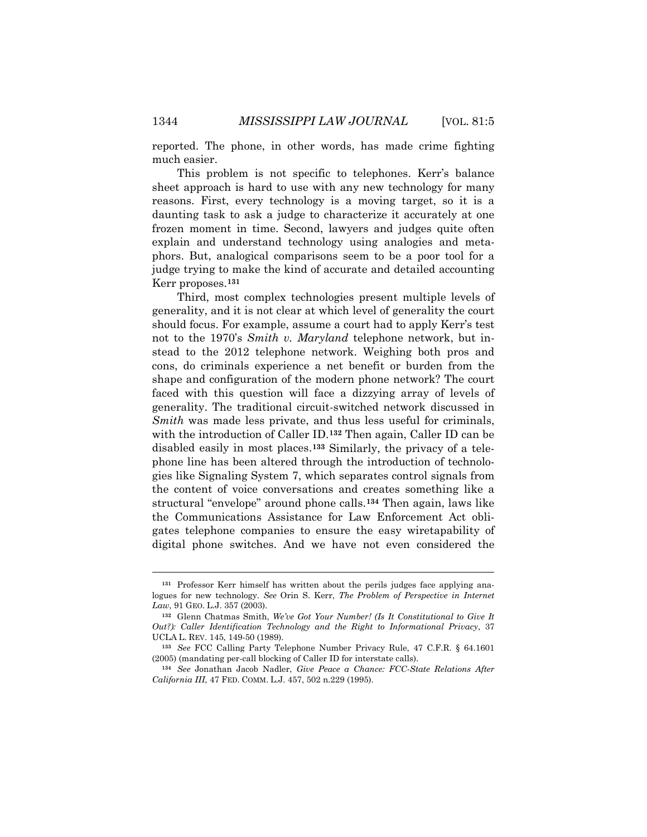reported. The phone, in other words, has made crime fighting much easier.

This problem is not specific to telephones. Kerr's balance sheet approach is hard to use with any new technology for many reasons. First, every technology is a moving target, so it is a daunting task to ask a judge to characterize it accurately at one frozen moment in time. Second, lawyers and judges quite often explain and understand technology using analogies and metaphors. But, analogical comparisons seem to be a poor tool for a judge trying to make the kind of accurate and detailed accounting Kerr proposes.**[131](#page-35-0)**

Third, most complex technologies present multiple levels of generality, and it is not clear at which level of generality the court should focus. For example, assume a court had to apply Kerr's test not to the 1970's *Smith v. Maryland* telephone network, but instead to the 2012 telephone network. Weighing both pros and cons, do criminals experience a net benefit or burden from the shape and configuration of the modern phone network? The court faced with this question will face a dizzying array of levels of generality. The traditional circuit-switched network discussed in *Smith* was made less private, and thus less useful for criminals, with the introduction of Caller ID.**[132](#page-35-1)** Then again, Caller ID can be disabled easily in most places.**[133](#page-35-2)** Similarly, the privacy of a telephone line has been altered through the introduction of technologies like Signaling System 7, which separates control signals from the content of voice conversations and creates something like a structural "envelope" around phone calls.**[134](#page-35-3)** Then again, laws like the Communications Assistance for Law Enforcement Act obligates telephone companies to ensure the easy wiretapability of digital phone switches. And we have not even considered the

<span id="page-35-0"></span>**<sup>131</sup>** Professor Kerr himself has written about the perils judges face applying analogues for new technology. *See* Orin S. Kerr, *The Problem of Perspective in Internet Law*, 91 GEO. L.J. 357 (2003).

<span id="page-35-1"></span>**<sup>132</sup>** Glenn Chatmas Smith, *We've Got Your Number! (Is It Constitutional to Give It Out?): Caller Identification Technology and the Right to Informational Privacy*, 37 UCLA L. REV. 145, 149-50 (1989).

<span id="page-35-2"></span>**<sup>133</sup>** *See* FCC Calling Party Telephone Number Privacy Rule, 47 C.F.R. § 64.1601 (2005) (mandating per-call blocking of Caller ID for interstate calls).

<span id="page-35-3"></span>**<sup>134</sup>** *See* Jonathan Jacob Nadler, *Give Peace a Chance: FCC-State Relations After California III*, 47 FED. COMM. L.J. 457, 502 n.229 (1995).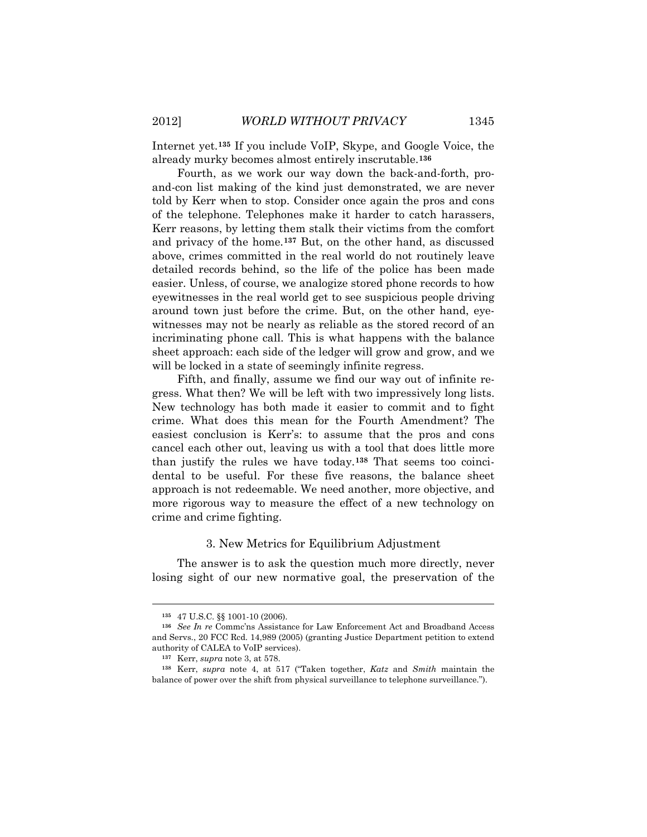Internet yet.**[135](#page-36-0)** If you include VoIP, Skype, and Google Voice, the already murky becomes almost entirely inscrutable.**[136](#page-36-1)**

Fourth, as we work our way down the back-and-forth, proand-con list making of the kind just demonstrated, we are never told by Kerr when to stop. Consider once again the pros and cons of the telephone. Telephones make it harder to catch harassers, Kerr reasons, by letting them stalk their victims from the comfort and privacy of the home.**[137](#page-36-2)** But, on the other hand, as discussed above, crimes committed in the real world do not routinely leave detailed records behind, so the life of the police has been made easier. Unless, of course, we analogize stored phone records to how eyewitnesses in the real world get to see suspicious people driving around town just before the crime. But, on the other hand, eyewitnesses may not be nearly as reliable as the stored record of an incriminating phone call. This is what happens with the balance sheet approach: each side of the ledger will grow and grow, and we will be locked in a state of seemingly infinite regress.

Fifth, and finally, assume we find our way out of infinite regress. What then? We will be left with two impressively long lists. New technology has both made it easier to commit and to fight crime. What does this mean for the Fourth Amendment? The easiest conclusion is Kerr's: to assume that the pros and cons cancel each other out, leaving us with a tool that does little more than justify the rules we have today. **[138](#page-36-3)** That seems too coincidental to be useful. For these five reasons, the balance sheet approach is not redeemable. We need another, more objective, and more rigorous way to measure the effect of a new technology on crime and crime fighting.

#### 3. New Metrics for Equilibrium Adjustment

The answer is to ask the question much more directly, never losing sight of our new normative goal, the preservation of the

**<sup>135</sup>** 47 U.S.C. §§ 1001-10 (2006).

<span id="page-36-1"></span><span id="page-36-0"></span>**<sup>136</sup>** *See In re* Commc'ns Assistance for Law Enforcement Act and Broadband Access and Servs., 20 FCC Rcd. 14,989 (2005) (granting Justice Department petition to extend authority of CALEA to VoIP services).

**<sup>137</sup>** Kerr, *supra* note 3, at 578.

<span id="page-36-3"></span><span id="page-36-2"></span>**<sup>138</sup>** Kerr, *supra* note 4, at 517 ("Taken together, *Katz* and *Smith* maintain the balance of power over the shift from physical surveillance to telephone surveillance.").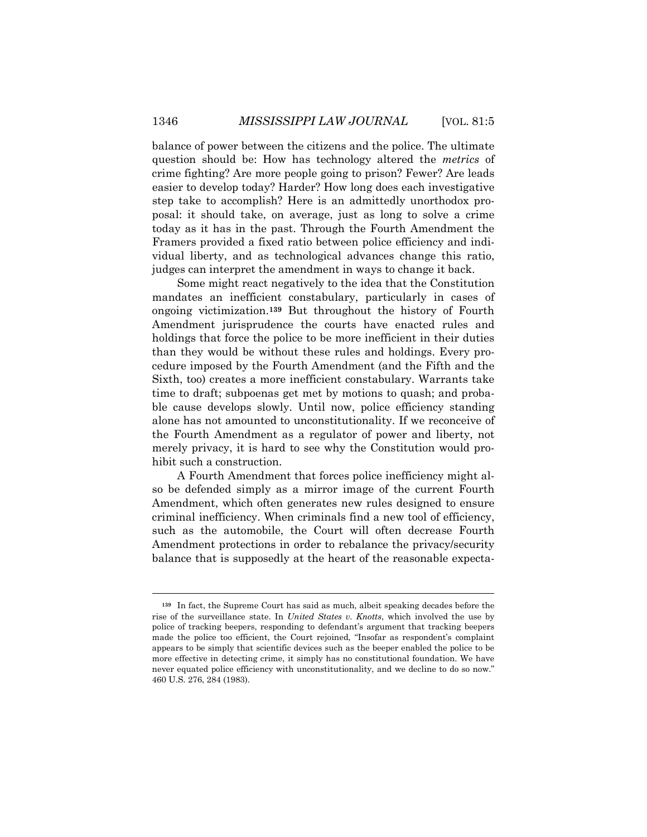balance of power between the citizens and the police. The ultimate question should be: How has technology altered the *metrics* of crime fighting? Are more people going to prison? Fewer? Are leads easier to develop today? Harder? How long does each investigative step take to accomplish? Here is an admittedly unorthodox proposal: it should take, on average, just as long to solve a crime today as it has in the past. Through the Fourth Amendment the Framers provided a fixed ratio between police efficiency and individual liberty, and as technological advances change this ratio, judges can interpret the amendment in ways to change it back.

Some might react negatively to the idea that the Constitution mandates an inefficient constabulary, particularly in cases of ongoing victimization.**[139](#page-37-0)** But throughout the history of Fourth Amendment jurisprudence the courts have enacted rules and holdings that force the police to be more inefficient in their duties than they would be without these rules and holdings. Every procedure imposed by the Fourth Amendment (and the Fifth and the Sixth, too) creates a more inefficient constabulary. Warrants take time to draft; subpoenas get met by motions to quash; and probable cause develops slowly. Until now, police efficiency standing alone has not amounted to unconstitutionality. If we reconceive of the Fourth Amendment as a regulator of power and liberty, not merely privacy, it is hard to see why the Constitution would prohibit such a construction.

A Fourth Amendment that forces police inefficiency might also be defended simply as a mirror image of the current Fourth Amendment, which often generates new rules designed to ensure criminal inefficiency. When criminals find a new tool of efficiency, such as the automobile, the Court will often decrease Fourth Amendment protections in order to rebalance the privacy/security balance that is supposedly at the heart of the reasonable expecta-

<span id="page-37-0"></span>**<sup>139</sup>** In fact, the Supreme Court has said as much, albeit speaking decades before the rise of the surveillance state. In *United States v. Knotts*, which involved the use by police of tracking beepers, responding to defendant's argument that tracking beepers made the police too efficient, the Court rejoined, "Insofar as respondent's complaint appears to be simply that scientific devices such as the beeper enabled the police to be more effective in detecting crime, it simply has no constitutional foundation. We have never equated police efficiency with unconstitutionality, and we decline to do so now." 460 U.S. 276, 284 (1983).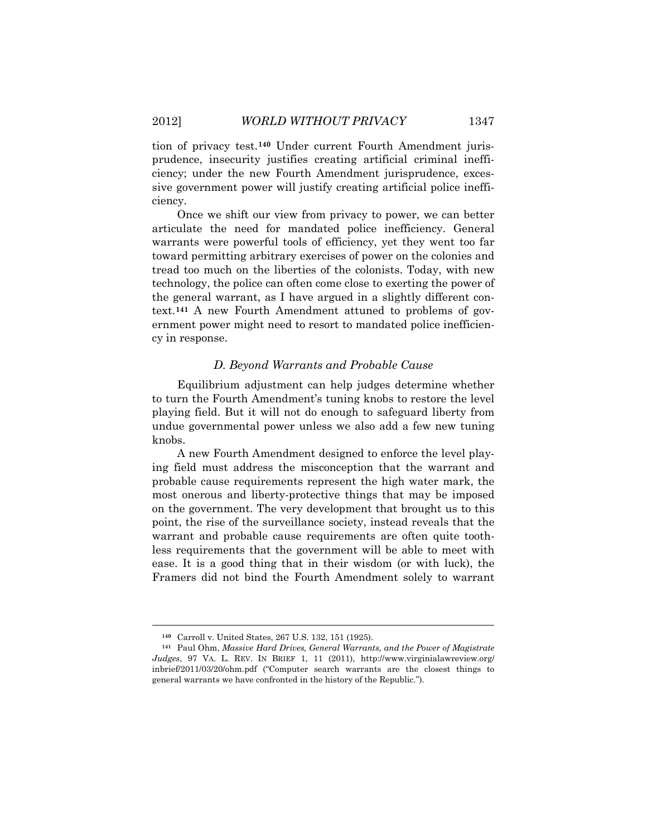tion of privacy test.**[140](#page-38-0)** Under current Fourth Amendment jurisprudence, insecurity justifies creating artificial criminal inefficiency; under the new Fourth Amendment jurisprudence, excessive government power will justify creating artificial police inefficiency.

Once we shift our view from privacy to power, we can better articulate the need for mandated police inefficiency. General warrants were powerful tools of efficiency, yet they went too far toward permitting arbitrary exercises of power on the colonies and tread too much on the liberties of the colonists. Today, with new technology, the police can often come close to exerting the power of the general warrant, as I have argued in a slightly different context. **[141](#page-38-1)** A new Fourth Amendment attuned to problems of government power might need to resort to mandated police inefficiency in response.

#### *D. Beyond Warrants and Probable Cause*

Equilibrium adjustment can help judges determine whether to turn the Fourth Amendment's tuning knobs to restore the level playing field. But it will not do enough to safeguard liberty from undue governmental power unless we also add a few new tuning knobs.

A new Fourth Amendment designed to enforce the level playing field must address the misconception that the warrant and probable cause requirements represent the high water mark, the most onerous and liberty-protective things that may be imposed on the government. The very development that brought us to this point, the rise of the surveillance society, instead reveals that the warrant and probable cause requirements are often quite toothless requirements that the government will be able to meet with ease. It is a good thing that in their wisdom (or with luck), the Framers did not bind the Fourth Amendment solely to warrant

**<sup>140</sup>** Carroll v. United States, 267 U.S. 132, 151 (1925).

<span id="page-38-1"></span><span id="page-38-0"></span>**<sup>141</sup>** Paul Ohm, *Massive Hard Drives, General Warrants, and the Power of Magistrate Judges*, 97 VA. L. REV. IN BRIEF 1, 11 (2011), http://www.virginialawreview.org/ inbrief/2011/03/20/ohm.pdf ("Computer search warrants are the closest things to general warrants we have confronted in the history of the Republic.").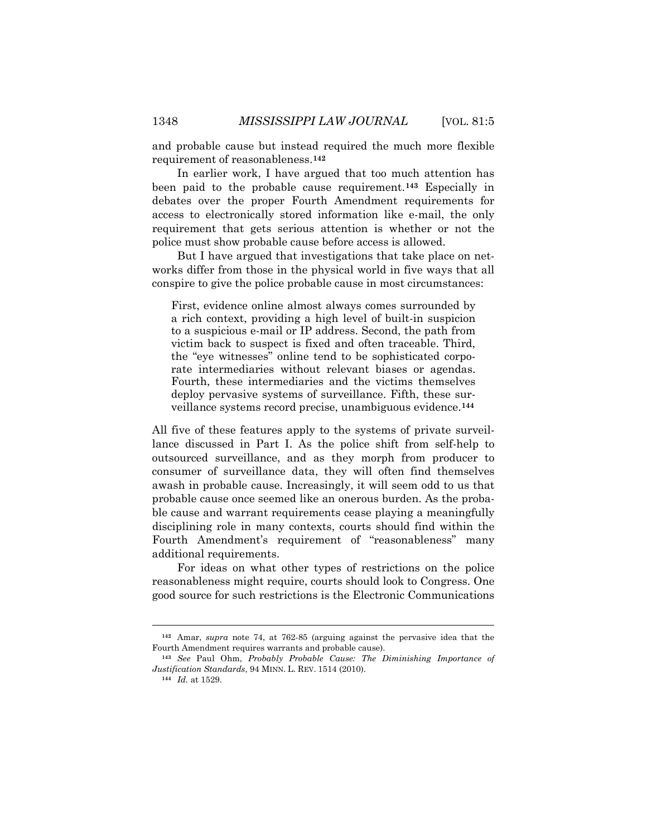and probable cause but instead required the much more flexible requirement of reasonableness.**[142](#page-39-0)**

In earlier work, I have argued that too much attention has been paid to the probable cause requirement.**[143](#page-39-1)** Especially in debates over the proper Fourth Amendment requirements for access to electronically stored information like e-mail, the only requirement that gets serious attention is whether or not the police must show probable cause before access is allowed.

But I have argued that investigations that take place on networks differ from those in the physical world in five ways that all conspire to give the police probable cause in most circumstances:

First, evidence online almost always comes surrounded by a rich context, providing a high level of built-in suspicion to a suspicious e-mail or IP address. Second, the path from victim back to suspect is fixed and often traceable. Third, the "eye witnesses" online tend to be sophisticated corporate intermediaries without relevant biases or agendas. Fourth, these intermediaries and the victims themselves deploy pervasive systems of surveillance. Fifth, these surveillance systems record precise, unambiguous evidence.**[144](#page-39-2)**

All five of these features apply to the systems of private surveillance discussed in Part I. As the police shift from self-help to outsourced surveillance, and as they morph from producer to consumer of surveillance data, they will often find themselves awash in probable cause. Increasingly, it will seem odd to us that probable cause once seemed like an onerous burden. As the probable cause and warrant requirements cease playing a meaningfully disciplining role in many contexts, courts should find within the Fourth Amendment's requirement of "reasonableness" many additional requirements.

For ideas on what other types of restrictions on the police reasonableness might require, courts should look to Congress. One good source for such restrictions is the Electronic Communications

<span id="page-39-0"></span>**<sup>142</sup>** Amar, *supra* note 74, at 762-85 (arguing against the pervasive idea that the Fourth Amendment requires warrants and probable cause).

<span id="page-39-2"></span><span id="page-39-1"></span>**<sup>143</sup>** *See* Paul Ohm, *Probably Probable Cause: The Diminishing Importance of Justification Standards*, 94 MINN. L. REV. 1514 (2010).

**<sup>144</sup>** *Id.* at 1529.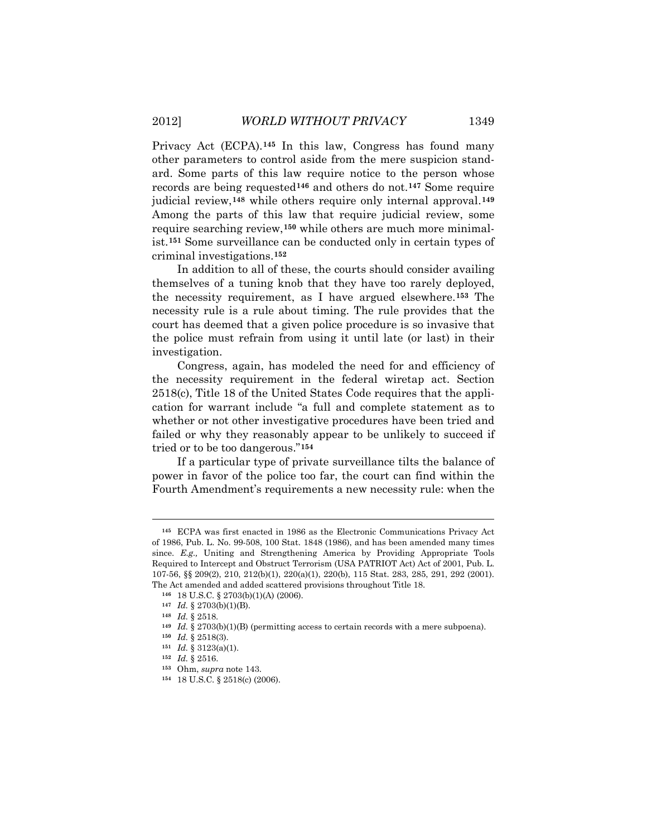Privacy Act (ECPA).**[145](#page-40-0)** In this law, Congress has found many other parameters to control aside from the mere suspicion standard. Some parts of this law require notice to the person whose records are being requested**[146](#page-40-1)** and others do not.**[147](#page-40-2)** Some require judicial review,**[148](#page-40-3)** while others require only internal approval.**[149](#page-40-4)** Among the parts of this law that require judicial review, some require searching review,**[150](#page-40-5)** while others are much more minimalist.**[151](#page-40-6)** Some surveillance can be conducted only in certain types of criminal investigations.**[152](#page-40-7)**

In addition to all of these, the courts should consider availing themselves of a tuning knob that they have too rarely deployed, the necessity requirement, as I have argued elsewhere.**[153](#page-40-8)** The necessity rule is a rule about timing. The rule provides that the court has deemed that a given police procedure is so invasive that the police must refrain from using it until late (or last) in their investigation.

Congress, again, has modeled the need for and efficiency of the necessity requirement in the federal wiretap act. Section 2518(c), Title 18 of the United States Code requires that the application for warrant include "a full and complete statement as to whether or not other investigative procedures have been tried and failed or why they reasonably appear to be unlikely to succeed if tried or to be too dangerous." **[154](#page-40-9)**

If a particular type of private surveillance tilts the balance of power in favor of the police too far, the court can find within the Fourth Amendment's requirements a new necessity rule: when the

<span id="page-40-0"></span>**<sup>145</sup>** ECPA was first enacted in 1986 as the Electronic Communications Privacy Act of 1986, Pub. L. No. 99-508, 100 Stat. 1848 (1986), and has been amended many times since. *E.g.,* Uniting and Strengthening America by Providing Appropriate Tools Required to Intercept and Obstruct Terrorism (USA PATRIOT Act) Act of 2001, Pub. L. 107-56, §§ 209(2), 210, 212(b)(1), 220(a)(1), 220(b), 115 Stat. 283, 285, 291, 292 (2001). The Act amended and added scattered provisions throughout Title 18.

<span id="page-40-1"></span>**<sup>146</sup>** 18 U.S.C. § 2703(b)(1)(A) (2006).

<span id="page-40-2"></span>**<sup>147</sup>** *Id.* § 2703(b)(1)(B).

<span id="page-40-3"></span>**<sup>148</sup>** *Id.* § 2518.

<span id="page-40-4"></span>**<sup>149</sup>** *Id.* § 2703(b)(1)(B) (permitting access to certain records with a mere subpoena).

<span id="page-40-5"></span>**<sup>150</sup>** *Id.* § 2518(3).

<span id="page-40-6"></span>**<sup>151</sup>** *Id.* § 3123(a)(1).

<span id="page-40-7"></span>**<sup>152</sup>** *Id.* § 2516.

<span id="page-40-8"></span>**<sup>153</sup>** Ohm, *supra* note 143.

<span id="page-40-9"></span>**<sup>154</sup>** 18 U.S.C. § 2518(c) (2006).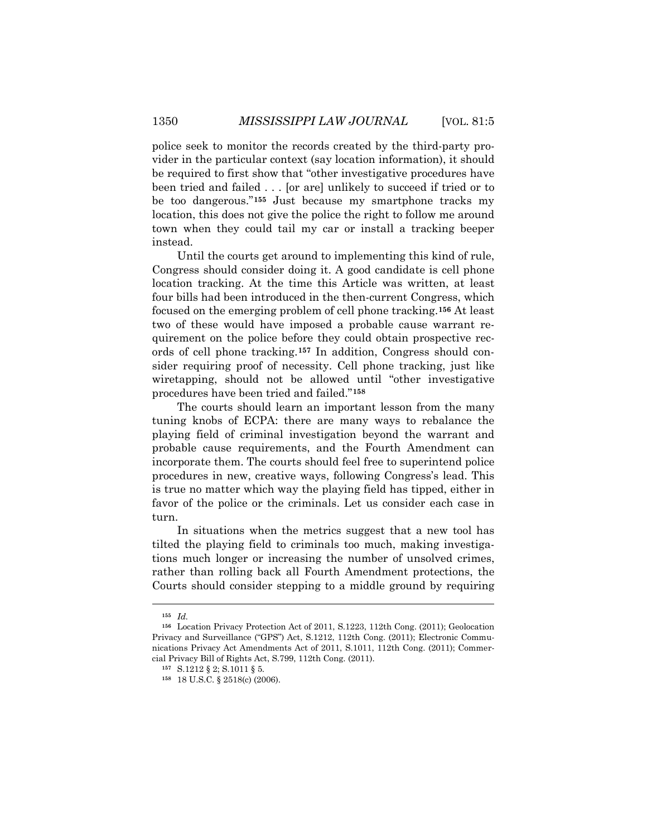police seek to monitor the records created by the third-party provider in the particular context (say location information), it should be required to first show that "other investigative procedures have been tried and failed . . . [or are] unlikely to succeed if tried or to be too dangerous."**[155](#page-41-0)** Just because my smartphone tracks my location, this does not give the police the right to follow me around town when they could tail my car or install a tracking beeper instead.

Until the courts get around to implementing this kind of rule, Congress should consider doing it. A good candidate is cell phone location tracking. At the time this Article was written, at least four bills had been introduced in the then-current Congress, which focused on the emerging problem of cell phone tracking. **[156](#page-41-1)** At least two of these would have imposed a probable cause warrant requirement on the police before they could obtain prospective records of cell phone tracking.**[157](#page-41-2)** In addition, Congress should consider requiring proof of necessity. Cell phone tracking, just like wiretapping, should not be allowed until "other investigative procedures have been tried and failed."**[158](#page-41-3)**

The courts should learn an important lesson from the many tuning knobs of ECPA: there are many ways to rebalance the playing field of criminal investigation beyond the warrant and probable cause requirements, and the Fourth Amendment can incorporate them. The courts should feel free to superintend police procedures in new, creative ways, following Congress's lead. This is true no matter which way the playing field has tipped, either in favor of the police or the criminals. Let us consider each case in turn.

In situations when the metrics suggest that a new tool has tilted the playing field to criminals too much, making investigations much longer or increasing the number of unsolved crimes, rather than rolling back all Fourth Amendment protections, the Courts should consider stepping to a middle ground by requiring

**<sup>155</sup>** *Id.*

<span id="page-41-3"></span><span id="page-41-2"></span><span id="page-41-1"></span><span id="page-41-0"></span>**<sup>156</sup>** Location Privacy Protection Act of 2011, S.1223, 112th Cong. (2011); Geolocation Privacy and Surveillance ("GPS") Act, S.1212, 112th Cong. (2011); Electronic Communications Privacy Act Amendments Act of 2011, S.1011, 112th Cong. (2011); Commercial Privacy Bill of Rights Act, S.799, 112th Cong. (2011).

**<sup>157</sup>** S.1212 § 2; S.1011 § 5.

**<sup>158</sup>** 18 U.S.C. § 2518(c) (2006).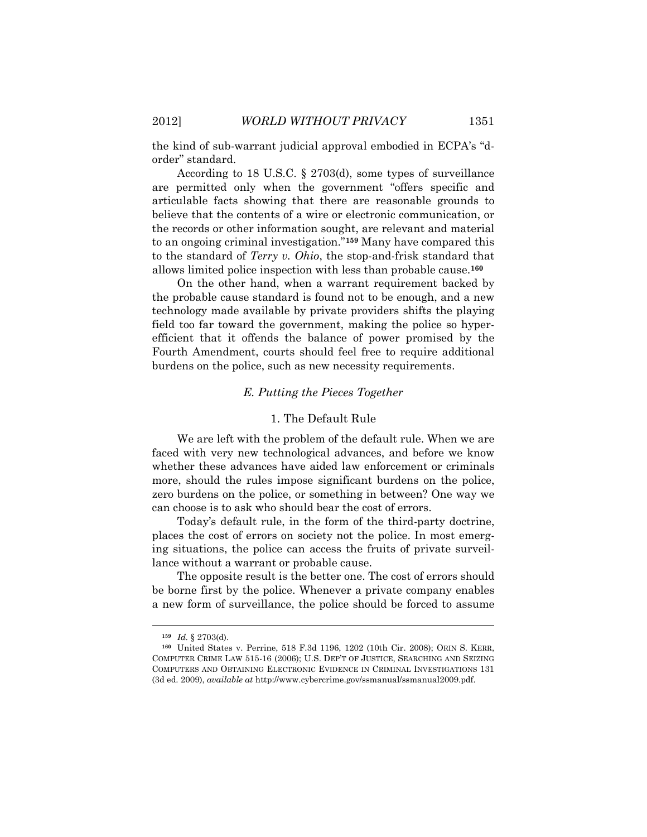the kind of sub-warrant judicial approval embodied in ECPA's "dorder" standard.

According to 18 U.S.C. § 2703(d), some types of surveillance are permitted only when the government "offers specific and articulable facts showing that there are reasonable grounds to believe that the contents of a wire or electronic communication, or the records or other information sought, are relevant and material to an ongoing criminal investigation."**[159](#page-42-0)** Many have compared this to the standard of *Terry v. Ohio*, the stop-and-frisk standard that allows limited police inspection with less than probable cause.**[160](#page-42-1)**

On the other hand, when a warrant requirement backed by the probable cause standard is found not to be enough, and a new technology made available by private providers shifts the playing field too far toward the government, making the police so hyperefficient that it offends the balance of power promised by the Fourth Amendment, courts should feel free to require additional burdens on the police, such as new necessity requirements.

#### *E. Putting the Pieces Together*

## 1. The Default Rule

We are left with the problem of the default rule. When we are faced with very new technological advances, and before we know whether these advances have aided law enforcement or criminals more, should the rules impose significant burdens on the police, zero burdens on the police, or something in between? One way we can choose is to ask who should bear the cost of errors.

Today's default rule, in the form of the third-party doctrine, places the cost of errors on society not the police. In most emerging situations, the police can access the fruits of private surveillance without a warrant or probable cause.

The opposite result is the better one. The cost of errors should be borne first by the police. Whenever a private company enables a new form of surveillance, the police should be forced to assume

**<sup>159</sup>** *Id.* § 2703(d).

<span id="page-42-1"></span><span id="page-42-0"></span>**<sup>160</sup>** United States v. Perrine, 518 F.3d 1196, 1202 (10th Cir. 2008); ORIN S. KERR, COMPUTER CRIME LAW 515-16 (2006); U.S. DEP'T OF JUSTICE, SEARCHING AND SEIZING COMPUTERS AND OBTAINING ELECTRONIC EVIDENCE IN CRIMINAL INVESTIGATIONS 131 (3d ed. 2009), *available at* http://www.cybercrime.gov/ssmanual/ssmanual2009.pdf.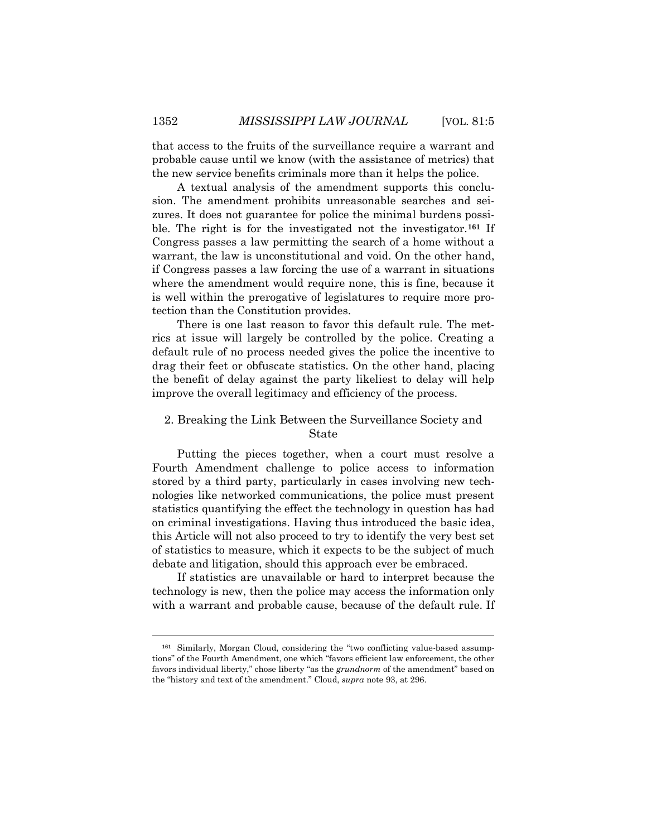that access to the fruits of the surveillance require a warrant and probable cause until we know (with the assistance of metrics) that the new service benefits criminals more than it helps the police.

A textual analysis of the amendment supports this conclusion. The amendment prohibits unreasonable searches and seizures. It does not guarantee for police the minimal burdens possible. The right is for the investigated not the investigator.**[161](#page-43-0)** If Congress passes a law permitting the search of a home without a warrant, the law is unconstitutional and void. On the other hand, if Congress passes a law forcing the use of a warrant in situations where the amendment would require none, this is fine, because it is well within the prerogative of legislatures to require more protection than the Constitution provides.

There is one last reason to favor this default rule. The metrics at issue will largely be controlled by the police. Creating a default rule of no process needed gives the police the incentive to drag their feet or obfuscate statistics. On the other hand, placing the benefit of delay against the party likeliest to delay will help improve the overall legitimacy and efficiency of the process.

## 2. Breaking the Link Between the Surveillance Society and State

Putting the pieces together, when a court must resolve a Fourth Amendment challenge to police access to information stored by a third party, particularly in cases involving new technologies like networked communications, the police must present statistics quantifying the effect the technology in question has had on criminal investigations. Having thus introduced the basic idea, this Article will not also proceed to try to identify the very best set of statistics to measure, which it expects to be the subject of much debate and litigation, should this approach ever be embraced.

If statistics are unavailable or hard to interpret because the technology is new, then the police may access the information only with a warrant and probable cause, because of the default rule. If

<span id="page-43-0"></span>**<sup>161</sup>** Similarly, Morgan Cloud, considering the "two conflicting value-based assumptions" of the Fourth Amendment, one which "favors efficient law enforcement, the other favors individual liberty," chose liberty "as the *grundnorm* of the amendment" based on the "history and text of the amendment." Cloud, *supra* note 93, at 296.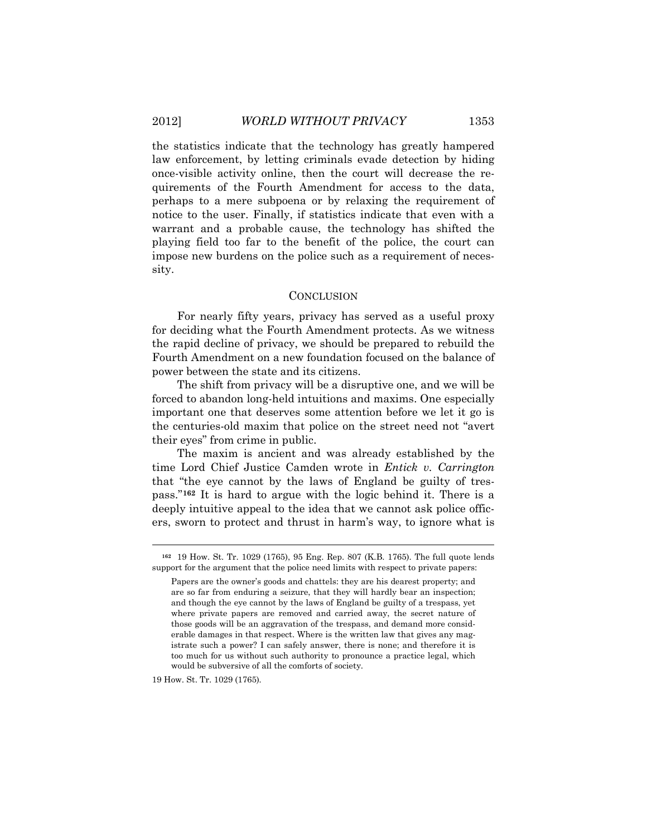the statistics indicate that the technology has greatly hampered law enforcement, by letting criminals evade detection by hiding once-visible activity online, then the court will decrease the requirements of the Fourth Amendment for access to the data, perhaps to a mere subpoena or by relaxing the requirement of notice to the user. Finally, if statistics indicate that even with a warrant and a probable cause, the technology has shifted the playing field too far to the benefit of the police, the court can impose new burdens on the police such as a requirement of necessity.

## **CONCLUSION**

For nearly fifty years, privacy has served as a useful proxy for deciding what the Fourth Amendment protects. As we witness the rapid decline of privacy, we should be prepared to rebuild the Fourth Amendment on a new foundation focused on the balance of power between the state and its citizens.

The shift from privacy will be a disruptive one, and we will be forced to abandon long-held intuitions and maxims. One especially important one that deserves some attention before we let it go is the centuries-old maxim that police on the street need not "avert their eyes" from crime in public.

The maxim is ancient and was already established by the time Lord Chief Justice Camden wrote in *Entick v. Carrington* that "the eye cannot by the laws of England be guilty of trespass."**[162](#page-44-0)** It is hard to argue with the logic behind it. There is a deeply intuitive appeal to the idea that we cannot ask police officers, sworn to protect and thrust in harm's way, to ignore what is

19 How. St. Tr. 1029 (1765)*.*

<span id="page-44-0"></span>**<sup>162</sup>** 19 How. St. Tr. 1029 (1765), 95 Eng. Rep. 807 (K.B. 1765). The full quote lends support for the argument that the police need limits with respect to private papers:

Papers are the owner's goods and chattels: they are his dearest property; and are so far from enduring a seizure, that they will hardly bear an inspection; and though the eye cannot by the laws of England be guilty of a trespass, yet where private papers are removed and carried away, the secret nature of those goods will be an aggravation of the trespass, and demand more considerable damages in that respect. Where is the written law that gives any magistrate such a power? I can safely answer, there is none; and therefore it is too much for us without such authority to pronounce a practice legal, which would be subversive of all the comforts of society.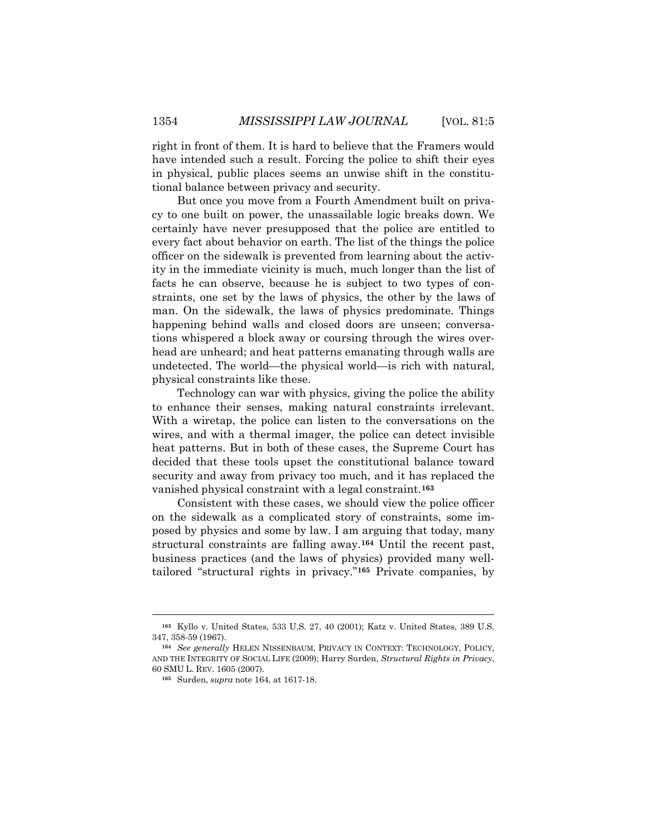right in front of them. It is hard to believe that the Framers would have intended such a result. Forcing the police to shift their eyes in physical, public places seems an unwise shift in the constitutional balance between privacy and security.

But once you move from a Fourth Amendment built on privacy to one built on power, the unassailable logic breaks down. We certainly have never presupposed that the police are entitled to every fact about behavior on earth. The list of the things the police officer on the sidewalk is prevented from learning about the activity in the immediate vicinity is much, much longer than the list of facts he can observe, because he is subject to two types of constraints, one set by the laws of physics, the other by the laws of man. On the sidewalk, the laws of physics predominate. Things happening behind walls and closed doors are unseen; conversations whispered a block away or coursing through the wires overhead are unheard; and heat patterns emanating through walls are undetected. The world—the physical world—is rich with natural, physical constraints like these.

Technology can war with physics, giving the police the ability to enhance their senses, making natural constraints irrelevant. With a wiretap, the police can listen to the conversations on the wires, and with a thermal imager, the police can detect invisible heat patterns. But in both of these cases, the Supreme Court has decided that these tools upset the constitutional balance toward security and away from privacy too much, and it has replaced the vanished physical constraint with a legal constraint.**[163](#page-45-0)**

Consistent with these cases, we should view the police officer on the sidewalk as a complicated story of constraints, some imposed by physics and some by law. I am arguing that today, many structural constraints are falling away.**[164](#page-45-1)** Until the recent past, business practices (and the laws of physics) provided many welltailored "structural rights in privacy."**[165](#page-45-2)** Private companies, by

<span id="page-45-0"></span>**<sup>163</sup>** Kyllo v. United States, 533 U.S. 27, 40 (2001); Katz v. United States, 389 U.S. 347, 358-59 (1967).

<span id="page-45-2"></span><span id="page-45-1"></span>**<sup>164</sup>** *See generally* HELEN NISSENBAUM, PRIVACY IN CONTEXT: TECHNOLOGY, POLICY, AND THE INTEGRITY OF SOCIAL LIFE (2009); Harry Surden, *Structural Rights in Privacy*, 60 SMU L. REV. 1605 (2007).

**<sup>165</sup>** Surden, *supra* note 164, at 1617-18.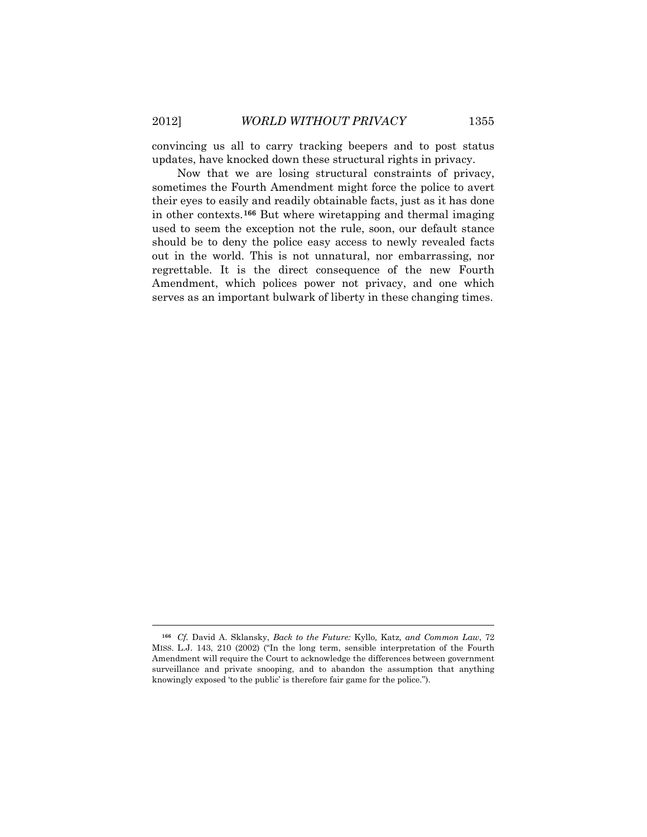$\overline{a}$ 

convincing us all to carry tracking beepers and to post status updates, have knocked down these structural rights in privacy.

Now that we are losing structural constraints of privacy, sometimes the Fourth Amendment might force the police to avert their eyes to easily and readily obtainable facts, just as it has done in other contexts.**[166](#page-46-0)** But where wiretapping and thermal imaging used to seem the exception not the rule, soon, our default stance should be to deny the police easy access to newly revealed facts out in the world. This is not unnatural, nor embarrassing, nor regrettable. It is the direct consequence of the new Fourth Amendment, which polices power not privacy, and one which serves as an important bulwark of liberty in these changing times.

<span id="page-46-0"></span>**<sup>166</sup>** *Cf.* David A. Sklansky, *Back to the Future:* Kyllo*,* Katz*, and Common Law*, 72 MISS. L.J. 143, 210 (2002) ("In the long term, sensible interpretation of the Fourth Amendment will require the Court to acknowledge the differences between government surveillance and private snooping, and to abandon the assumption that anything knowingly exposed 'to the public' is therefore fair game for the police.").